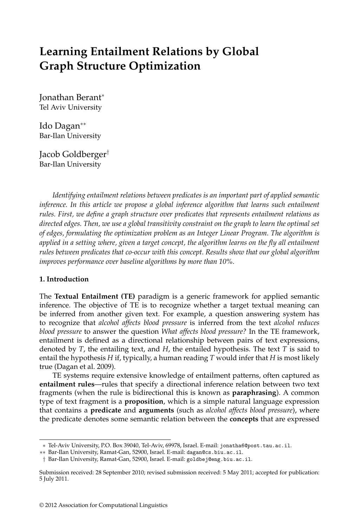# **Learning Entailment Relations by Global Graph Structure Optimization**

Jonathan Berant<sup>∗</sup> Tel Aviv University

Ido Dagan∗∗ Bar-Ilan University

Jacob Goldberger† Bar-Ilan University

*Identifying entailment relations between predicates is an important part of applied semantic inference. In this article we propose a global inference algorithm that learns such entailment rules. First, we define a graph structure over predicates that represents entailment relations as directed edges. Then, we use a global transitivity constraint on the graph to learn the optimal set of edges, formulating the optimization problem as an Integer Linear Program. The algorithm is applied in a setting where, given a target concept, the algorithm learns on the fly all entailment rules between predicates that co-occur with this concept. Results show that our global algorithm improves performance over baseline algorithms by more than 10%.*

## **1. Introduction**

The **Textual Entailment (TE)** paradigm is a generic framework for applied semantic inference. The objective of TE is to recognize whether a target textual meaning can be inferred from another given text. For example, a question answering system has to recognize that *alcohol affects blood pressure* is inferred from the text *alcohol reduces blood pressure* to answer the question *What affects blood pressure?* In the TE framework, entailment is defined as a directional relationship between pairs of text expressions, denoted by *T*, the entailing text, and *H*, the entailed hypothesis. The text *T* is said to entail the hypothesis *H* if, typically, a human reading *T* would infer that *H* is most likely true (Dagan et al. 2009).

TE systems require extensive knowledge of entailment patterns, often captured as **entailment rules**—rules that specify a directional inference relation between two text fragments (when the rule is bidirectional this is known as **paraphrasing**). A common type of text fragment is a **proposition**, which is a simple natural language expression that contains a **predicate** and **arguments** (such as *alcohol affects blood pressure*), where the predicate denotes some semantic relation between the **concepts** that are expressed

<sup>∗</sup> Tel-Aviv University, P.O. Box 39040, Tel-Aviv, 69978, Israel. E-mail: jonatha6@post.tau.ac.il.

<sup>∗∗</sup> Bar-Ilan University, Ramat-Gan, 52900, Israel. E-mail: dagan@cs.biu.ac.il.

<sup>†</sup> Bar-Ilan University, Ramat-Gan, 52900, Israel. E-mail: goldbej@eng.biu.ac.il.

Submission received: 28 September 2010; revised submission received: 5 May 2011; accepted for publication: 5 July 2011.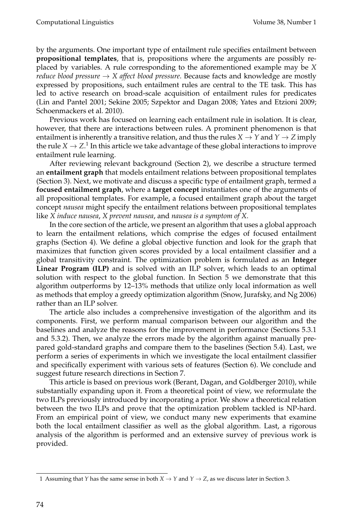by the arguments. One important type of entailment rule specifies entailment between **propositional templates**, that is, propositions where the arguments are possibly replaced by variables. A rule corresponding to the aforementioned example may be *X reduce blood pressure*  $\rightarrow X$  *affect blood pressure*. Because facts and knowledge are mostly expressed by propositions, such entailment rules are central to the TE task. This has led to active research on broad-scale acquisition of entailment rules for predicates (Lin and Pantel 2001; Sekine 2005; Szpektor and Dagan 2008; Yates and Etzioni 2009; Schoenmackers et al. 2010).

Previous work has focused on learning each entailment rule in isolation. It is clear, however, that there are interactions between rules. A prominent phenomenon is that entailment is inherently a transitive relation, and thus the rules  $X \to Y$  and  $Y \to Z$  imply the rule  $X \to Z.^1$  In this article we take advantage of these global interactions to improve entailment rule learning.

After reviewing relevant background (Section 2), we describe a structure termed an **entailment graph** that models entailment relations between propositional templates (Section 3). Next, we motivate and discuss a specific type of entailment graph, termed a **focused entailment graph**, where a **target concept** instantiates one of the arguments of all propositional templates. For example, a focused entailment graph about the target concept *nausea* might specify the entailment relations between propositional templates like *X induce nausea*, *X prevent nausea*, and *nausea is a symptom of X*.

In the core section of the article, we present an algorithm that uses a global approach to learn the entailment relations, which comprise the edges of focused entailment graphs (Section 4). We define a global objective function and look for the graph that maximizes that function given scores provided by a local entailment classifier and a global transitivity constraint. The optimization problem is formulated as an **Integer Linear Program (ILP)** and is solved with an ILP solver, which leads to an optimal solution with respect to the global function. In Section 5 we demonstrate that this algorithm outperforms by 12–13% methods that utilize only local information as well as methods that employ a greedy optimization algorithm (Snow, Jurafsky, and Ng 2006) rather than an ILP solver.

The article also includes a comprehensive investigation of the algorithm and its components. First, we perform manual comparison between our algorithm and the baselines and analyze the reasons for the improvement in performance (Sections 5.3.1 and 5.3.2). Then, we analyze the errors made by the algorithm against manually prepared gold-standard graphs and compare them to the baselines (Section 5.4). Last, we perform a series of experiments in which we investigate the local entailment classifier and specifically experiment with various sets of features (Section 6). We conclude and suggest future research directions in Section 7.

This article is based on previous work (Berant, Dagan, and Goldberger 2010), while substantially expanding upon it. From a theoretical point of view, we reformulate the two ILPs previously introduced by incorporating a prior. We show a theoretical relation between the two ILPs and prove that the optimization problem tackled is NP-hard. From an empirical point of view, we conduct many new experiments that examine both the local entailment classifier as well as the global algorithm. Last, a rigorous analysis of the algorithm is performed and an extensive survey of previous work is provided.

<sup>1</sup> Assuming that *Y* has the same sense in both  $X \to Y$  and  $Y \to Z$ , as we discuss later in Section 3.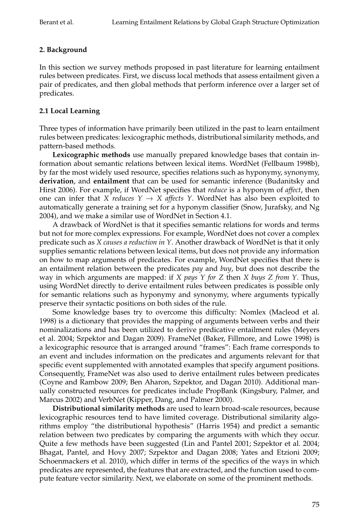# **2. Background**

In this section we survey methods proposed in past literature for learning entailment rules between predicates. First, we discuss local methods that assess entailment given a pair of predicates, and then global methods that perform inference over a larger set of predicates.

# **2.1 Local Learning**

Three types of information have primarily been utilized in the past to learn entailment rules between predicates: lexicographic methods, distributional similarity methods, and pattern-based methods.

**Lexicographic methods** use manually prepared knowledge bases that contain information about semantic relations between lexical items. WordNet (Fellbaum 1998b), by far the most widely used resource, specifies relations such as hyponymy, synonymy, **derivation**, and **entailment** that can be used for semantic inference (Budanitsky and Hirst 2006). For example, if WordNet specifies that *reduce* is a hyponym of *affect*, then one can infer that *X reduces*  $Y \rightarrow X$  *affects Y*. WordNet has also been exploited to automatically generate a training set for a hyponym classifier (Snow, Jurafsky, and Ng 2004), and we make a similar use of WordNet in Section 4.1.

A drawback of WordNet is that it specifies semantic relations for words and terms but not for more complex expressions. For example, WordNet does not cover a complex predicate such as *X causes a reduction in Y*. Another drawback of WordNet is that it only supplies semantic relations between lexical items, but does not provide any information on how to map arguments of predicates. For example, WordNet specifies that there is an entailment relation between the predicates *pay* and *buy*, but does not describe the way in which arguments are mapped: if *X pays Y for Z* then *X buys Z from Y*. Thus, using WordNet directly to derive entailment rules between predicates is possible only for semantic relations such as hyponymy and synonymy, where arguments typically preserve their syntactic positions on both sides of the rule.

Some knowledge bases try to overcome this difficulty: Nomlex (Macleod et al. 1998) is a dictionary that provides the mapping of arguments between verbs and their nominalizations and has been utilized to derive predicative entailment rules (Meyers et al. 2004; Szpektor and Dagan 2009). FrameNet (Baker, Fillmore, and Lowe 1998) is a lexicographic resource that is arranged around "frames": Each frame corresponds to an event and includes information on the predicates and arguments relevant for that specific event supplemented with annotated examples that specify argument positions. Consequently, FrameNet was also used to derive entailment rules between predicates (Coyne and Rambow 2009; Ben Aharon, Szpektor, and Dagan 2010). Additional manually constructed resources for predicates include PropBank (Kingsbury, Palmer, and Marcus 2002) and VerbNet (Kipper, Dang, and Palmer 2000).

**Distributional similarity methods** are used to learn broad-scale resources, because lexicographic resources tend to have limited coverage. Distributional similarity algorithms employ "the distributional hypothesis" (Harris 1954) and predict a semantic relation between two predicates by comparing the arguments with which they occur. Quite a few methods have been suggested (Lin and Pantel 2001; Szpektor et al. 2004; Bhagat, Pantel, and Hovy 2007; Szpektor and Dagan 2008; Yates and Etzioni 2009; Schoenmackers et al. 2010), which differ in terms of the specifics of the ways in which predicates are represented, the features that are extracted, and the function used to compute feature vector similarity. Next, we elaborate on some of the prominent methods.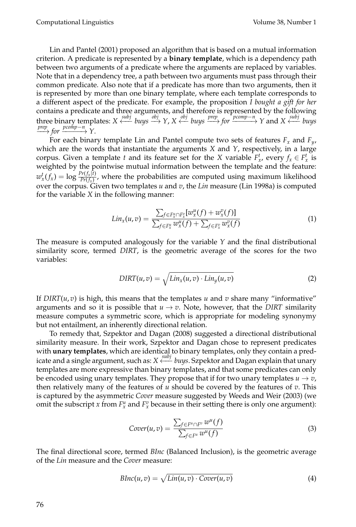Lin and Pantel (2001) proposed an algorithm that is based on a mutual information criterion. A predicate is represented by a **binary template**, which is a dependency path between two arguments of a predicate where the arguments are replaced by variables. Note that in a dependency tree, a path between two arguments must pass through their common predicate. Also note that if a predicate has more than two arguments, then it is represented by more than one binary template, where each template corresponds to a different aspect of the predicate. For example, the proposition *I bought a gift for her* contains a predicate and three arguments, and therefore is represented by the following three binary templates:  $X \stackrel{subj}{\longleftrightarrow} buys \stackrel{obj}{\longrightarrow} Y$ ,  $X \stackrel{obj}{\longleftrightarrow} burst \stackrel{prep}{\longrightarrow} for \stackrel{pcomp-n}{\longrightarrow} Y$  and  $X \stackrel{subj}{\longleftrightarrow} buys$  $\xrightarrow{\text{prep}}$  *for*  $\xrightarrow{\text{pcomp}-n} Y$ .

For each binary template Lin and Pantel compute two sets of features  $F_x$  and  $F_y$ , which are the words that instantiate the arguments *X* and *Y*, respectively, in a large corpus. Given a template *t* and its feature set for the *X* variable  $F^t_x$ , every  $f_x \in F^t_x$  is weighted by the pointwise mutual information between the template and the feature:  $w_x^t(f_x) = \log \frac{Pr(f_x|t)}{Pr(f_x)}$ , where the probabilities are computed using maximum likelihood over the corpus. Given two templates *u* and *v*, the *Lin* measure (Lin 1998a) is computed for the variable *X* in the following manner:

$$
Lin_{x}(u,v) = \frac{\sum_{f \in F_{x}^{u} \cap F_{x}^{v}} [w_{x}^{u}(f) + w_{x}^{v}(f)]}{\sum_{f \in F_{x}^{u}} w_{x}^{u}(f) + \sum_{f \in F_{x}^{v}} w_{x}^{v}(f)}
$$
(1)

The measure is computed analogously for the variable *Y* and the final distributional similarity score, termed *DIRT*, is the geometric average of the scores for the two variables:

$$
DIRT(u, v) = \sqrt{Lin_x(u, v) \cdot Lin_y(u, v)}
$$
\n(2)

If  $DIR(T(u, v)$  is high, this means that the templates *u* and *v* share many "informative" arguments and so it is possible that  $u \rightarrow v$ . Note, however, that the *DIRT* similarity measure computes a symmetric score, which is appropriate for modeling synonymy but not entailment, an inherently directional relation.

To remedy that, Szpektor and Dagan (2008) suggested a directional distributional similarity measure. In their work, Szpektor and Dagan chose to represent predicates with **unary templates**, which are identical to binary templates, only they contain a predicate and a single argument, such as: *X* <sup>kubj</sup> *buys*. Szpektor and Dagan explain that unary templates are more expressive than binary templates, and that some predicates can only be encoded using unary templates. They propose that if for two unary templates  $u \rightarrow v$ , then relatively many of the features of *u* should be covered by the features of *v*. This is captured by the asymmetric *Cover* measure suggested by Weeds and Weir (2003) (we omit the subscript *x* from  $F_x^u$  and  $F_x^v$  because in their setting there is only one argument):

$$
Cover(u, v) = \frac{\sum_{f \in F^u \cap F^v} w^u(f)}{\sum_{f \in F^u} w^u(f)}
$$
(3)

The final directional score, termed *BInc* (Balanced Inclusion), is the geometric average of the *Lin* measure and the *Cover* measure:

$$
BInc(u, v) = \sqrt{Lin(u, v) \cdot Cover(u, v)}
$$
\n(4)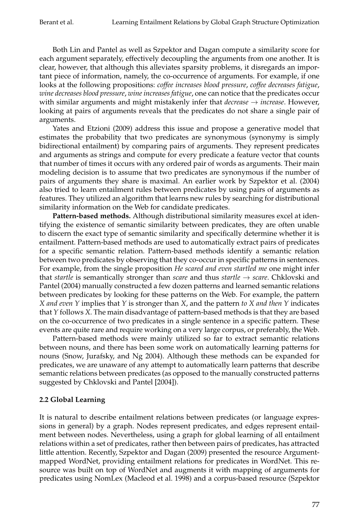Both Lin and Pantel as well as Szpektor and Dagan compute a similarity score for each argument separately, effectively decoupling the arguments from one another. It is clear, however, that although this alleviates sparsity problems, it disregards an important piece of information, namely, the co-occurrence of arguments. For example, if one looks at the following propositions: *coffee increases blood pressure*, *coffee decreases fatigue*, *wine decreases blood pressure*, *wine increases fatigue*, one can notice that the predicates occur with similar arguments and might mistakenly infer that  $\textit{decrease} \rightarrow \textit{increase}$ . However, looking at pairs of arguments reveals that the predicates do not share a single pair of arguments.

Yates and Etzioni (2009) address this issue and propose a generative model that estimates the probability that two predicates are synonymous (synonymy is simply bidirectional entailment) by comparing pairs of arguments. They represent predicates and arguments as strings and compute for every predicate a feature vector that counts that number of times it occurs with any ordered pair of words as arguments. Their main modeling decision is to assume that two predicates are synonymous if the number of pairs of arguments they share is maximal. An earlier work by Szpektor et al. (2004) also tried to learn entailment rules between predicates by using pairs of arguments as features. They utilized an algorithm that learns new rules by searching for distributional similarity information on the Web for candidate predicates.

**Pattern-based methods.** Although distributional similarity measures excel at identifying the existence of semantic similarity between predicates, they are often unable to discern the exact type of semantic similarity and specifically determine whether it is entailment. Pattern-based methods are used to automatically extract pairs of predicates for a specific semantic relation. Pattern-based methods identify a semantic relation between two predicates by observing that they co-occur in specific patterns in sentences. For example, from the single proposition *He scared and even startled me* one might infer that *startle* is semantically stronger than *scare* and thus *startle* → *scare*. Chklovski and Pantel (2004) manually constructed a few dozen patterns and learned semantic relations between predicates by looking for these patterns on the Web. For example, the pattern *X and even Y* implies that *Y* is stronger than *X*, and the pattern *to X and then Y* indicates that *Y* follows *X*. The main disadvantage of pattern-based methods is that they are based on the co-occurrence of two predicates in a single sentence in a specific pattern. These events are quite rare and require working on a very large corpus, or preferably, the Web.

Pattern-based methods were mainly utilized so far to extract semantic relations between nouns, and there has been some work on automatically learning patterns for nouns (Snow, Jurafsky, and Ng 2004). Although these methods can be expanded for predicates, we are unaware of any attempt to automatically learn patterns that describe semantic relations between predicates (as opposed to the manually constructed patterns suggested by Chklovski and Pantel [2004]).

## **2.2 Global Learning**

It is natural to describe entailment relations between predicates (or language expressions in general) by a graph. Nodes represent predicates, and edges represent entailment between nodes. Nevertheless, using a graph for global learning of all entailment relations within a set of predicates, rather then between pairs of predicates, has attracted little attention. Recently, Szpektor and Dagan (2009) presented the resource Argumentmapped WordNet, providing entailment relations for predicates in WordNet. This resource was built on top of WordNet and augments it with mapping of arguments for predicates using NomLex (Macleod et al. 1998) and a corpus-based resource (Szpektor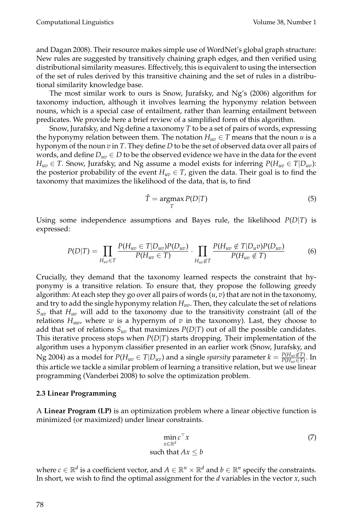and Dagan 2008). Their resource makes simple use of WordNet's global graph structure: New rules are suggested by transitively chaining graph edges, and then verified using distributional similarity measures. Effectively, this is equivalent to using the intersection of the set of rules derived by this transitive chaining and the set of rules in a distributional similarity knowledge base.

The most similar work to ours is Snow, Jurafsky, and Ng's (2006) algorithm for taxonomy induction, although it involves learning the hyponymy relation between nouns, which is a special case of entailment, rather than learning entailment between predicates. We provide here a brief review of a simplified form of this algorithm.

Snow, Jurafsky, and Ng define a taxonomy *T* to be a set of pairs of words, expressing the hyponymy relation between them. The notation  $H_{uv} \in T$  means that the noun *u* is a hyponym of the noun *v* in *T*. They define *D* to be the set of observed data over all pairs of words, and define  $D_{uv} \in D$  to be the observed evidence we have in the data for the event *H*<sub>*uv*</sub> ∈ *T*. Snow, Jurafsky, and Ng assume a model exists for inferring  $P(H_{uv} ∈ T|D_{uv})$ : the posterior probability of the event  $H_{uv} \in T$ , given the data. Their goal is to find the taxonomy that maximizes the likelihood of the data, that is, to find

$$
\hat{T} = \underset{T}{\operatorname{argmax}} P(D|T) \tag{5}
$$

Using some independence assumptions and Bayes rule, the likelihood  $P(D|T)$  is expressed:

$$
P(D|T) = \prod_{H_{uv}\in T} \frac{P(H_{uv}\in T|D_{uv})P(D_{uv})}{P(H_{uv}\in T)} \cdot \prod_{H_{uv}\notin T} \frac{P(H_{uv}\notin T|D_{u}v)P(D_{uv})}{P(H_{uv}\notin T)}
$$
(6)

Crucially, they demand that the taxonomy learned respects the constraint that hyponymy is a transitive relation. To ensure that, they propose the following greedy algorithm: At each step they go over all pairs of words  $(u, v)$  that are not in the taxonomy, and try to add the single hyponymy relation *Huv*. Then, they calculate the set of relations  $S_{uv}$  that  $H_{uv}$  will add to the taxonomy due to the transitivity constraint (all of the relations  $H_{uvw}$ , where *w* is a hypernym of *v* in the taxonomy). Last, they choose to add that set of relations  $S_{uv}$  that maximizes  $P(D|T)$  out of all the possible candidates. This iterative process stops when *P*(*D*|*T*) starts dropping. Their implementation of the algorithm uses a hyponym classifier presented in an earlier work (Snow, Jurafsky, and Ng 2004) as a model for  $P(H_{uv} \in T|D_{uv})$  and a single *sparsity* parameter  $k = \frac{P(H_{uv} \notin T)}{P(H_{uv} \in T)}$ . In this article we tackle a similar problem of learning a transitive relation, but we use linear programming (Vanderbei 2008) to solve the optimization problem.

## **2.3 Linear Programming**

A **Linear Program (LP)** is an optimization problem where a linear objective function is minimized (or maximized) under linear constraints.

$$
\min_{x \in \mathbb{R}^d} c^\top x \tag{7}
$$
\n
$$
\text{such that } Ax \le b
$$

where *c* ∈  $\mathbb{R}^d$  is a coefficient vector, and *A* ∈  $\mathbb{R}^n \times \mathbb{R}^d$  and *b* ∈  $\mathbb{R}^n$  specify the constraints. In short, we wish to find the optimal assignment for the *d* variables in the vector *x*, such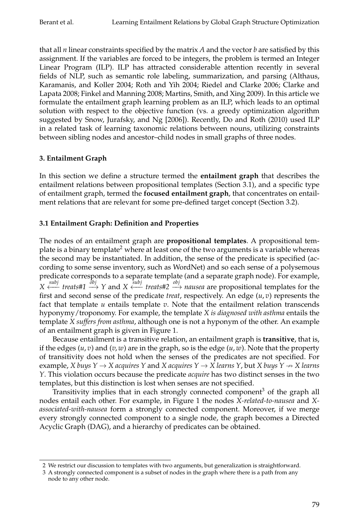that all *n* linear constraints specified by the matrix *A* and the vector *b* are satisfied by this assignment. If the variables are forced to be integers, the problem is termed an Integer Linear Program (ILP). ILP has attracted considerable attention recently in several fields of NLP, such as semantic role labeling, summarization, and parsing (Althaus, Karamanis, and Koller 2004; Roth and Yih 2004; Riedel and Clarke 2006; Clarke and Lapata 2008; Finkel and Manning 2008; Martins, Smith, and Xing 2009). In this article we formulate the entailment graph learning problem as an ILP, which leads to an optimal solution with respect to the objective function (vs. a greedy optimization algorithm suggested by Snow, Jurafsky, and Ng [2006]). Recently, Do and Roth (2010) used ILP in a related task of learning taxonomic relations between nouns, utilizing constraints between sibling nodes and ancestor–child nodes in small graphs of three nodes.

## **3. Entailment Graph**

In this section we define a structure termed the **entailment graph** that describes the entailment relations between propositional templates (Section 3.1), and a specific type of entailment graph, termed the **focused entailment graph**, that concentrates on entailment relations that are relevant for some pre-defined target concept (Section 3.2).

## **3.1 Entailment Graph: Definition and Properties**

The nodes of an entailment graph are **propositional templates**. A propositional template is a binary template<sup>2</sup> where at least one of the two arguments is a variable whereas the second may be instantiated. In addition, the sense of the predicate is specified (according to some sense inventory, such as WordNet) and so each sense of a polysemous predicate corresponds to a separate template (and a separate graph node). For example,  $X \stackrel{subj}{\longleftrightarrow}$  *treats#1*  $\stackrel{obj}{\longrightarrow}$  *Y* and  $X \stackrel{subj}{\longleftrightarrow}$  *treats#2*  $\stackrel{obj}{\longrightarrow}$  *nausea* are propositional templates for the first and second sense of the predicate *treat*, respectively. An edge  $(u, v)$  represents the fact that template  $u$  entails template  $v$ . Note that the entailment relation transcends hyponymy/troponomy. For example, the template *X is diagnosed with asthma* entails the template *X suffers from asthma*, although one is not a hyponym of the other. An example of an entailment graph is given in Figure 1.

Because entailment is a transitive relation, an entailment graph is **transitive**, that is, if the edges  $(u, v)$  and  $(v, w)$  are in the graph, so is the edge  $(u, w)$ . Note that the property of transitivity does not hold when the senses of the predicates are not specified. For example, *X* buys  $Y \to X$  acquires  $Y$  and  $X$  acquires  $Y \to X$  learns  $Y$ , but  $X$  buys  $Y \to X$  learns *Y*. This violation occurs because the predicate *acquire* has two distinct senses in the two templates, but this distinction is lost when senses are not specified.

Transitivity implies that in each strongly connected component<sup>3</sup> of the graph all nodes entail each other. For example, in Figure 1 the nodes *X-related-to-nausea* and *Xassociated-with-nausea* form a strongly connected component. Moreover, if we merge every strongly connected component to a single node, the graph becomes a Directed Acyclic Graph (DAG), and a hierarchy of predicates can be obtained.

<sup>2</sup> We restrict our discussion to templates with two arguments, but generalization is straightforward.

<sup>3</sup> A strongly connected component is a subset of nodes in the graph where there is a path from any node to any other node.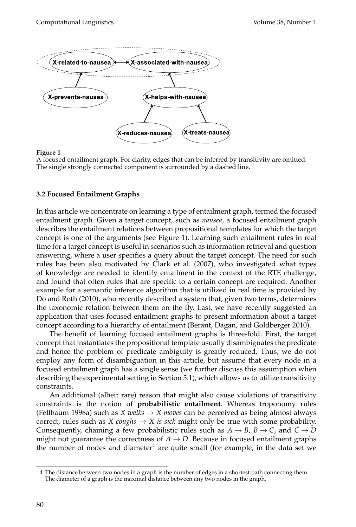

#### **Figure 1**

A focused entailment graph. For clarity, edges that can be inferred by transitivity are omitted. The single strongly connected component is surrounded by a dashed line.

#### **3.2 Focused Entailment Graphs**

In this article we concentrate on learning a type of entailment graph, termed the focused entailment graph. Given a target concept, such as *nausea*, a focused entailment graph describes the entailment relations between propositional templates for which the target concept is one of the arguments (see Figure 1). Learning such entailment rules in real time for a target concept is useful in scenarios such as information retrieval and question answering, where a user specifies a query about the target concept. The need for such rules has been also motivated by Clark et al. (2007), who investigated what types of knowledge are needed to identify entailment in the context of the RTE challenge, and found that often rules that are specific to a certain concept are required. Another example for a semantic inference algorithm that is utilized in real time is provided by Do and Roth (2010), who recently described a system that, given two terms, determines the taxonomic relation between them on the fly. Last, we have recently suggested an application that uses focused entailment graphs to present information about a target concept according to a hierarchy of entailment (Berant, Dagan, and Goldberger 2010).

The benefit of learning focused entailment graphs is three-fold. First, the target concept that instantiates the propositional template usually disambiguates the predicate and hence the problem of predicate ambiguity is greatly reduced. Thus, we do not employ any form of disambiguation in this article, but assume that every node in a focused entailment graph has a single sense (we further discuss this assumption when describing the experimental setting in Section 5.1), which allows us to utilize transitivity constraints.

An additional (albeit rare) reason that might also cause violations of transitivity constraints is the notion of **probabilistic entailment**. Whereas troponomy rules (Fellbaum 1998a) such as *X walks*  $\rightarrow$  *X moves* can be perceived as being almost always correct, rules such as *X coughs*  $\rightarrow$  *X is sick* might only be true with some probability. Consequently, chaining a few probabilistic rules such as  $A \rightarrow B$ ,  $B \rightarrow C$ , and  $C \rightarrow D$ might not guarantee the correctness of  $A \rightarrow D$ . Because in focused entailment graphs the number of nodes and diameter<sup>4</sup> are quite small (for example, in the data set we

<sup>4</sup> The distance between two nodes in a graph is the number of edges in a shortest path connecting them. The diameter of a graph is the maximal distance between any two nodes in the graph.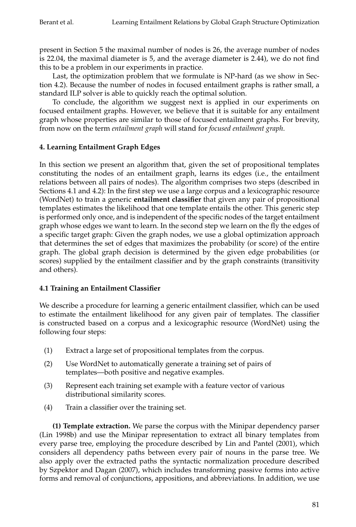present in Section 5 the maximal number of nodes is 26, the average number of nodes is 22.04, the maximal diameter is 5, and the average diameter is 2.44), we do not find this to be a problem in our experiments in practice.

Last, the optimization problem that we formulate is NP-hard (as we show in Section 4.2). Because the number of nodes in focused entailment graphs is rather small, a standard ILP solver is able to quickly reach the optimal solution.

To conclude, the algorithm we suggest next is applied in our experiments on focused entailment graphs. However, we believe that it is suitable for any entailment graph whose properties are similar to those of focused entailment graphs. For brevity, from now on the term *entailment graph* will stand for *focused entailment graph*.

# **4. Learning Entailment Graph Edges**

In this section we present an algorithm that, given the set of propositional templates constituting the nodes of an entailment graph, learns its edges (i.e., the entailment relations between all pairs of nodes). The algorithm comprises two steps (described in Sections 4.1 and 4.2): In the first step we use a large corpus and a lexicographic resource (WordNet) to train a generic **entailment classifier** that given any pair of propositional templates estimates the likelihood that one template entails the other. This generic step is performed only once, and is independent of the specific nodes of the target entailment graph whose edges we want to learn. In the second step we learn on the fly the edges of a specific target graph: Given the graph nodes, we use a global optimization approach that determines the set of edges that maximizes the probability (or score) of the entire graph. The global graph decision is determined by the given edge probabilities (or scores) supplied by the entailment classifier and by the graph constraints (transitivity and others).

# **4.1 Training an Entailment Classifier**

We describe a procedure for learning a generic entailment classifier, which can be used to estimate the entailment likelihood for any given pair of templates. The classifier is constructed based on a corpus and a lexicographic resource (WordNet) using the following four steps:

- (1) Extract a large set of propositional templates from the corpus.
- (2) Use WordNet to automatically generate a training set of pairs of templates—both positive and negative examples.
- (3) Represent each training set example with a feature vector of various distributional similarity scores.
- (4) Train a classifier over the training set.

**(1)Template extraction.** We parse the corpus with the Minipar dependency parser (Lin 1998b) and use the Minipar representation to extract all binary templates from every parse tree, employing the procedure described by Lin and Pantel (2001), which considers all dependency paths between every pair of nouns in the parse tree. We also apply over the extracted paths the syntactic normalization procedure described by Szpektor and Dagan (2007), which includes transforming passive forms into active forms and removal of conjunctions, appositions, and abbreviations. In addition, we use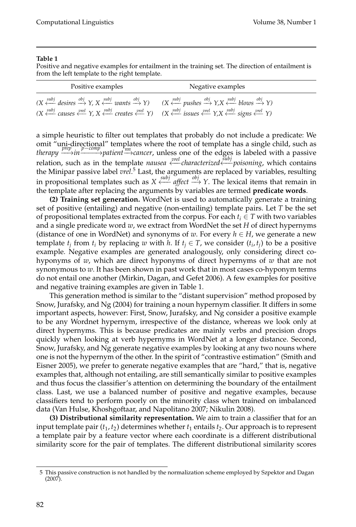#### **Table 1**

Positive and negative examples for entailment in the training set. The direction of entailment is from the left template to the right template.

| Positive examples                                                                                                                                                                                                                                                                                                                                         | Negative examples |
|-----------------------------------------------------------------------------------------------------------------------------------------------------------------------------------------------------------------------------------------------------------------------------------------------------------------------------------------------------------|-------------------|
| $(X \xleftarrow{subj} desires \xrightarrow{obj} Y, X \xleftarrow{subj} wants \xrightarrow{obj} Y)$ $(X \xleftarrow{subj} pushes \xrightarrow{obj} Y, X \xleftarrow{subj} blows \xrightarrow{obj} Y)$                                                                                                                                                      |                   |
| $(X \stackrel{subj}{\longleftarrow} \textit{causes} \stackrel{verb}{\longleftarrow} Y, X \stackrel{subj}{\longleftarrow} \textit{creates} \stackrel{vrel}{\longleftarrow} Y)$ $(X \stackrel{subj}{\longleftarrow} \textit{issues} \stackrel{vrel}{\longleftarrow} Y, X \stackrel{subj}{\longleftarrow} \textit{signs} \stackrel{vrel}{\longleftarrow} Y)$ |                   |

a simple heuristic to filter out templates that probably do not include a predicate: We omit "uni-directional" templates where the root of template has a single child, such as *therapy* <u>*prep*</u> *p*−*comp −*−→*patient nn*</sub> *nn*<sup>2</sup> *nn*<sup>2</sup> *nn*<sup>2</sup> *nn*<sup>2</sup> *nn*<sup>2</sup> *nn*<sup>2</sup> *nn*<sup>2</sup> *nn*<sup>2</sup> *nn*<sup>2</sup> *nn*<sup>2</sup> *nn*<sup>2</sup> *nn*<sup>2</sup> *nn*<sup>2</sup> *nn*<sup>2</sup> *nn*<sup>2</sup> *nn*<sup>2</sup> *nn*<sup>2</sup> *nn*<sup>2</sup> *nn*<sup>2</sup> *nn*<sup>2</sup> *nn*<sup>2</sup> *n* relation, such as in the template *nausea* <sup>«prel</sup>characterized<sup>«</sup> *poisoning*, which contains the Minipar passive label *vrel*. <sup>5</sup> Last, the arguments are replaced by variables, resulting in propositional templates such as  $X \stackrel{subj}{\longleftrightarrow} \text{affect} \stackrel{obj}{\longrightarrow} Y$ . The lexical items that remain in the template after replacing the arguments by variables are termed **predicate words**.

**(2)Training set generation.** WordNet is used to automatically generate a training set of positive (entailing) and negative (non-entailing) template pairs. Let *T* be the set of propositional templates extracted from the corpus. For each  $t_i \in T$  with two variables and a single predicate word *w*, we extract from WordNet the set *H* of direct hypernyms (distance of one in WordNet) and synonyms of *w*. For every  $h \in H$ , we generate a new template  $t_i$  from  $t_i$  by replacing *w* with *h*. If  $t_i \in T$ , we consider  $(t_i, t_i)$  to be a positive example. Negative examples are generated analogously, only considering direct cohyponyms of *w*, which are direct hyponyms of direct hypernyms of *w* that are not synonymous to *w*. It has been shown in past work that in most cases co-hyponym terms do not entail one another (Mirkin, Dagan, and Gefet 2006). A few examples for positive and negative training examples are given in Table 1.

This generation method is similar to the "distant supervision" method proposed by Snow, Jurafsky, and Ng (2004) for training a noun hypernym classifier. It differs in some important aspects, however: First, Snow, Jurafsky, and Ng consider a positive example to be any Wordnet hypernym, irrespective of the distance, whereas we look only at direct hypernyms. This is because predicates are mainly verbs and precision drops quickly when looking at verb hypernyms in WordNet at a longer distance. Second, Snow, Jurafsky, and Ng generate negative examples by looking at any two nouns where one is not the hypernym of the other. In the spirit of "contrastive estimation" (Smith and Eisner 2005), we prefer to generate negative examples that are "hard," that is, negative examples that, although not entailing, are still semantically similar to positive examples and thus focus the classifier's attention on determining the boundary of the entailment class. Last, we use a balanced number of positive and negative examples, because classifiers tend to perform poorly on the minority class when trained on imbalanced data (Van Hulse, Khoshgoftaar, and Napolitano 2007; Nikulin 2008).

**(3)Distributional similarity representation.** We aim to train a classifier that for an input template pair  $(t_1, t_2)$  determines whether  $t_1$  entails  $t_2$ . Our approach is to represent a template pair by a feature vector where each coordinate is a different distributional similarity score for the pair of templates. The different distributional similarity scores

<sup>5</sup> This passive construction is not handled by the normalization scheme employed by Szpektor and Dagan (2007).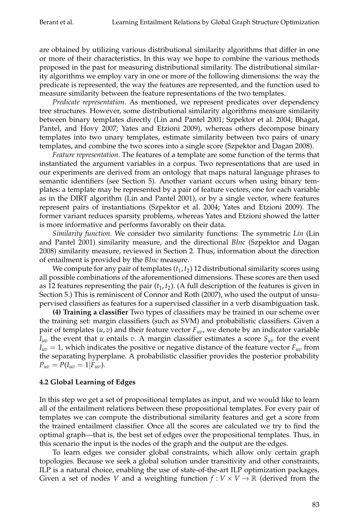are obtained by utilizing various distributional similarity algorithms that differ in one or more of their characteristics. In this way we hope to combine the various methods proposed in the past for measuring distributional similarity. The distributional similarity algorithms we employ vary in one or more of the following dimensions: the way the predicate is represented, the way the features are represented, and the function used to measure similarity between the feature representations of the two templates.

*Predicate representation.* As mentioned, we represent predicates over dependency tree structures. However, some distributional similarity algorithms measure similarity between binary templates directly (Lin and Pantel 2001; Szpektor et al. 2004; Bhagat, Pantel, and Hovy 2007; Yates and Etzioni 2009), whereas others decompose binary templates into two unary templates, estimate similarity between two pairs of unary templates, and combine the two scores into a single score (Szpektor and Dagan 2008).

*Feature representation.* The features of a template are some function of the terms that instantiated the argument variables in a corpus. Two representations that are used in our experiments are derived from an ontology that maps natural language phrases to semantic identifiers (see Section 5). Another variant occurs when using binary templates: a template may be represented by a pair of feature vectors, one for each variable as in the DIRT algorithm (Lin and Pantel 2001), or by a single vector, where features represent pairs of instantiations (Szpektor et al. 2004; Yates and Etzioni 2009). The former variant reduces sparsity problems, whereas Yates and Etzioni showed the latter is more informative and performs favorably on their data.

*Similarity function.* We consider two similarity functions: The symmetric *Lin* (Lin and Pantel 2001) similarity measure, and the directional *BInc* (Szpektor and Dagan 2008) similarity measure, reviewed in Section 2. Thus, information about the direction of entailment is provided by the *BInc* measure.

We compute for any pair of templates  $(t_1, t_2)$  12 distributional similarity scores using all possible combinations of the aforementioned dimensions. These scores are then used as 12 features representing the pair  $(t_1, t_2)$ . (A full description of the features is given in Section 5.) This is reminiscent of Connor and Roth (2007), who used the output of unsupervised classifiers as features for a supervised classifier in a verb disambiguation task.

**(4)Training a classifier** Two types of classifiers may be trained in our scheme over the training set: margin classifiers (such as SVM) and probabilistic classifiers. Given a pair of templates  $(u, v)$  and their feature vector  $F_{uv}$ , we denote by an indicator variable *Iuv* the event that *u* entails *v*. A margin classifier estimates a score *Suv* for the event  $I_{uv} = 1$ , which indicates the positive or negative distance of the feature vector  $F_{uv}$  from the separating hyperplane. A probabilistic classifier provides the posterior probability  $P_{uv} = P(I_{uv} = 1 | F_{uv}).$ 

#### **4.2 Global Learning of Edges**

In this step we get a set of propositional templates as input, and we would like to learn all of the entailment relations between these propositional templates. For every pair of templates we can compute the distributional similarity features and get a score from the trained entailment classifier. Once all the scores are calculated we try to find the optimal graph—that is, the best set of edges over the propositional templates. Thus, in this scenario the input is the nodes of the graph and the output are the edges.

To learn edges we consider global constraints, which allow only certain graph topologies. Because we seek a global solution under transitivity and other constraints, ILP is a natural choice, enabling the use of state-of-the-art ILP optimization packages. Given a set of nodes *V* and a weighting function  $f: V \times V \to \mathbb{R}$  (derived from the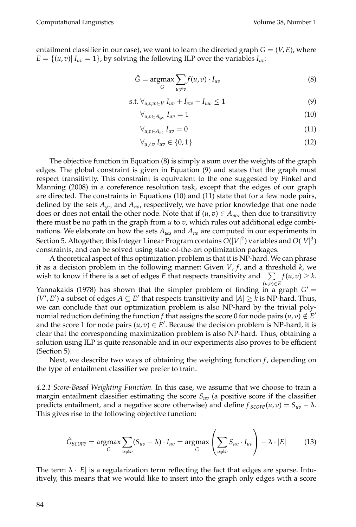entailment classifier in our case), we want to learn the directed graph  $G = (V, E)$ , where  $E = \{(u, v) | I_{uv} = 1\}$ , by solving the following ILP over the variables  $I_{uv}$ :

$$
\hat{G} = \underset{G}{\text{argmax}} \sum_{u \neq v} f(u, v) \cdot I_{uv} \tag{8}
$$

$$
\text{s.t. } \forall_{u,v,w \in V} \ I_{uv} + I_{vw} - I_{uw} \leq 1 \tag{9}
$$

$$
\forall_{u,v \in A_{yes}} I_{uv} = 1 \tag{10}
$$

$$
\forall_{u,v \in A_{no}} I_{uv} = 0 \tag{11}
$$

$$
\forall_{u \neq v} \, I_{uv} \in \{0, 1\} \tag{12}
$$

The objective function in Equation (8) is simply a sum over the weights of the graph edges. The global constraint is given in Equation (9) and states that the graph must respect transitivity. This constraint is equivalent to the one suggested by Finkel and Manning (2008) in a coreference resolution task, except that the edges of our graph are directed. The constraints in Equations (10) and (11) state that for a few node pairs, defined by the sets *Ayes* and *Ano*, respectively, we have prior knowledge that one node does or does not entail the other node. Note that if  $(u, v) \in A_{no}$ , then due to transitivity there must be no path in the graph from  $u$  to  $v$ , which rules out additional edge combinations. We elaborate on how the sets *Ayes* and *Ano* are computed in our experiments in Section 5. Altogether, this Integer Linear Program contains  $O(|V|^2)$  variables and  $O(|V|^3)$ constraints, and can be solved using state-of-the-art optimization packages.

A theoretical aspect of this optimization problem is that it is NP-hard. We can phrase it as a decision problem in the following manner: Given *V*, *f*, and a threshold *k*, we wish to know if there is a set of edges  $E$  that respects transitivity and  $\;\;\sum\;$  $f(u,v) \geq k$ .

(*u*,*v*)∈*E* Yannakakis (1978) has shown that the simpler problem of finding in a graph  $G' =$  $(V',E')$  a subset of edges  $A\subseteq E'$  that respects transitivity and  $|A|\geq k$  is NP-hard. Thus, we can conclude that our optimization problem is also NP-hard by the trivial polynomial reduction defining the function *f* that assigns the score 0 for node pairs (*u*, *v*)  $\notin E'$ and the score 1 for node pairs  $(u,v) \in E'$ . Because the decision problem is NP-hard, it is clear that the corresponding maximization problem is also NP-hard. Thus, obtaining a solution using ILP is quite reasonable and in our experiments also proves to be efficient (Section 5).

Next, we describe two ways of obtaining the weighting function *f*, depending on the type of entailment classifier we prefer to train.

*4.2.1 Score-Based Weighting Function.* In this case, we assume that we choose to train a margin entailment classifier estimating the score *Suv* (a positive score if the classifier predicts entailment, and a negative score otherwise) and define  $f_{score}(u, v) = S_{uv} - \lambda$ . This gives rise to the following objective function:

$$
\hat{G}_{SCO\text{re}} = \underset{G}{\text{argmax}} \sum_{u \neq v} (S_{uv} - \lambda) \cdot I_{uv} = \underset{G}{\text{argmax}} \left( \sum_{u \neq v} S_{uv} \cdot I_{uv} \right) - \lambda \cdot |E| \tag{13}
$$

The term  $\lambda \cdot |E|$  is a regularization term reflecting the fact that edges are sparse. Intuitively, this means that we would like to insert into the graph only edges with a score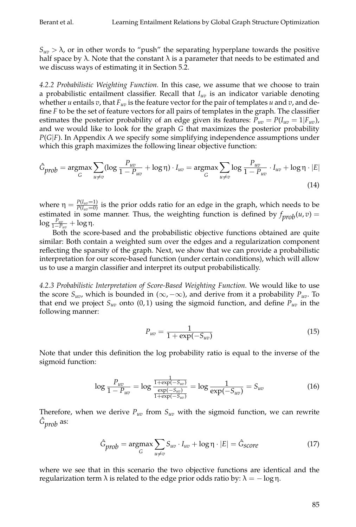$S_{uv} > \lambda$ , or in other words to "push" the separating hyperplane towards the positive half space by  $\lambda$ . Note that the constant  $\lambda$  is a parameter that needs to be estimated and we discuss ways of estimating it in Section 5.2.

*4.2.2 Probabilistic Weighting Function.* In this case, we assume that we choose to train a probabilistic entailment classifier. Recall that  $I_{uv}$  is an indicator variable denoting whether *u* entails *v*, that  $F_{uv}$  is the feature vector for the pair of templates *u* and *v*, and define *F* to be the set of feature vectors for all pairs of templates in the graph. The classifier estimates the posterior probability of an edge given its features:  $P_{uv} = P(I_{uv} = 1|F_{uv})$ , and we would like to look for the graph *G* that maximizes the posterior probability *P*(*G*|*F*). In Appendix A we specify some simplifying independence assumptions under which this graph maximizes the following linear objective function:

$$
\hat{G}_{prob} = \underset{G}{\operatorname{argmax}} \sum_{u \neq v} (\log \frac{P_{uv}}{1 - P_{uv}} + \log \eta) \cdot I_{uv} = \underset{G}{\operatorname{argmax}} \sum_{u \neq v} \log \frac{P_{uv}}{1 - P_{uv}} \cdot I_{uv} + \log \eta \cdot |E|
$$
\n(14)

where  $\eta = \frac{P(I_{uv}=1)}{P(I_{uv}=0)}$  is the prior odds ratio for an edge in the graph, which needs to be estimated in some manner. Thus, the weighting function is defined by  $f_{prob}(u, v) =$ log *Puv* <sup>1</sup>−*Puv* <sup>+</sup> log <sup>η</sup>.

Both the score-based and the probabilistic objective functions obtained are quite similar: Both contain a weighted sum over the edges and a regularization component reflecting the sparsity of the graph. Next, we show that we can provide a probabilistic interpretation for our score-based function (under certain conditions), which will allow us to use a margin classifier and interpret its output probabilistically.

*4.2.3 Probabilistic Interpretation of Score-Based Weighting Function.* We would like to use the score  $S_{uv}$ , which is bounded in  $(\infty, -\infty)$ , and derive from it a probability  $P_{uv}$ . To that end we project  $S_{uv}$  onto (0,1) using the sigmoid function, and define  $P_{uv}$  in the following manner:

$$
P_{uv} = \frac{1}{1 + \exp(-S_{uv})}
$$
 (15)

Note that under this definition the log probability ratio is equal to the inverse of the sigmoid function:

$$
\log \frac{P_{uv}}{1 - P_{uv}} = \log \frac{\frac{1}{1 + \exp(-S_{uv})}}{\frac{\exp(-S_{uv})}{1 + \exp(-S_{uv})}} = \log \frac{1}{\exp(-S_{uv})} = S_{uv}
$$
(16)

Therefore, when we derive  $P_{uv}$  from  $S_{uv}$  with the sigmoid function, we can rewrite  $\hat{G}_{prob}$  as:

$$
\hat{G}_{prob} = \underset{G}{\text{argmax}} \sum_{u \neq v} S_{uv} \cdot I_{uv} + \log \eta \cdot |E| = \hat{G}_{score}
$$
\n(17)

where we see that in this scenario the two objective functions are identical and the regularization term  $\lambda$  is related to the edge prior odds ratio by:  $\lambda = -\log \eta$ .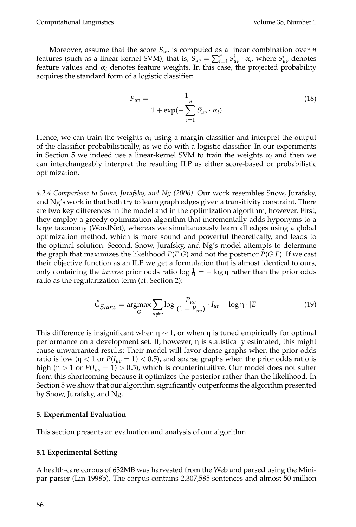Moreover, assume that the score  $S_{uv}$  is computed as a linear combination over *n* features (such as a linear-kernel SVM), that is,  $\dot{S}_{uv} = \sum_{i=1}^{n} S_{uv}^i \cdot \alpha_i$ , where  $S_{uv}^i$  denotes feature values and  $\alpha_i$  denotes feature weights. In this case, the projected probability acquires the standard form of a logistic classifier:

$$
P_{uv} = \frac{1}{1 + \exp(-\sum_{i=1}^{n} S_{uv}^i \cdot \alpha_i)}
$$
(18)

Hence, we can train the weights α*<sup>i</sup>* using a margin classifier and interpret the output of the classifier probabilistically, as we do with a logistic classifier. In our experiments in Section 5 we indeed use a linear-kernel SVM to train the weights  $\alpha_i$  and then we can interchangeably interpret the resulting ILP as either score-based or probabilistic optimization.

*4.2.4 Comparison to Snow, Jurafsky, and Ng (2006).* Our work resembles Snow, Jurafsky, and Ng's work in that both try to learn graph edges given a transitivity constraint. There are two key differences in the model and in the optimization algorithm, however. First, they employ a greedy optimization algorithm that incrementally adds hyponyms to a large taxonomy (WordNet), whereas we simultaneously learn all edges using a global optimization method, which is more sound and powerful theoretically, and leads to the optimal solution. Second, Snow, Jurafsky, and Ng's model attempts to determine the graph that maximizes the likelihood  $P(F|G)$  and not the posterior  $P(G|F)$ . If we cast their objective function as an ILP we get a formulation that is almost identical to ours, only containing the *inverse* prior odds ratio log  $\frac{1}{\eta} = -\log \eta$  rather than the prior odds ratio as the regularization term (cf. Section 2):

$$
\hat{G}_{\text{Snow}} = \underset{G}{\text{argmax}} \sum_{u \neq v} \log \frac{P_{uv}}{(1 - P_{uv})} \cdot I_{uv} - \log \eta \cdot |E| \tag{19}
$$

This difference is insignificant when  $\eta \sim 1$ , or when  $\eta$  is tuned empirically for optimal performance on a development set. If, however,  $\eta$  is statistically estimated, this might cause unwarranted results: Their model will favor dense graphs when the prior odds ratio is low  $(\eta < 1 \text{ or } P(I_{uv} = 1) < 0.5)$ , and sparse graphs when the prior odds ratio is high ( $\eta > 1$  or  $P(I_{uv} = 1) > 0.5$ ), which is counterintuitive. Our model does not suffer from this shortcoming because it optimizes the posterior rather than the likelihood. In Section 5 we show that our algorithm significantly outperforms the algorithm presented by Snow, Jurafsky, and Ng.

## **5. Experimental Evaluation**

This section presents an evaluation and analysis of our algorithm.

## **5.1 Experimental Setting**

A health-care corpus of 632MB was harvested from the Web and parsed using the Minipar parser (Lin 1998b). The corpus contains 2,307,585 sentences and almost 50 million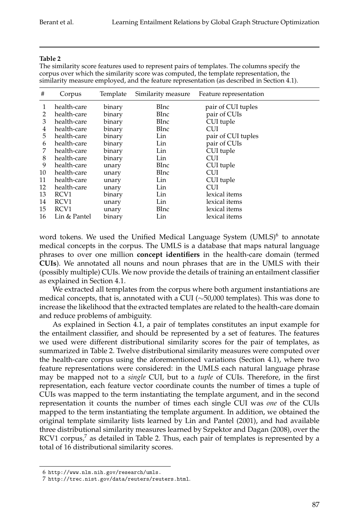#### **Table 2**

The similarity score features used to represent pairs of templates. The columns specify the corpus over which the similarity score was computed, the template representation, the similarity measure employed, and the feature representation (as described in Section 4.1).

| #  | Corpus           | Template | Similarity measure | Feature representation |  |
|----|------------------|----------|--------------------|------------------------|--|
| 1  | health-care      | binary   | <b>BInc</b>        | pair of CUI tuples     |  |
| 2  | health-care      | binary   | BInc               | pair of CUIs           |  |
| 3  | health-care      | binary   | <b>BInc</b>        | CUI tuple              |  |
| 4  | health-care      | binary   | <b>BInc</b>        | <b>CUI</b>             |  |
| 5  | health-care      | binary   | Lin                | pair of CUI tuples     |  |
| 6  | health-care      | binary   | Lin                | pair of CUIs           |  |
| 7  | health-care      | binary   | Lin                | CUI tuple              |  |
| 8  | health-care      | binary   | Lin                | CUI                    |  |
| 9  | health-care      | unary    | BInc               | CUI tuple              |  |
| 10 | health-care      | unary    | BInc               | CUI                    |  |
| 11 | health-care      | unary    | Lin                | CUI tuple              |  |
| 12 | health-care      | unary    | Lin                | CUI                    |  |
| 13 | RCV <sub>1</sub> | binary   | Lin                | lexical items          |  |
| 14 | RCV <sub>1</sub> | unary    | Lin                | lexical items          |  |
| 15 | RCV <sub>1</sub> | unary    | BInc               | lexical items          |  |
| 16 | Lin & Pantel     | binary   | Lin                | lexical items          |  |

word tokens. We used the Unified Medical Language System  $(UMLS)^6$  to annotate medical concepts in the corpus. The UMLS is a database that maps natural language phrases to over one million **concept identifiers** in the health-care domain (termed **CUIs**). We annotated all nouns and noun phrases that are in the UMLS with their (possibly multiple) CUIs. We now provide the details of training an entailment classifier as explained in Section 4.1.

We extracted all templates from the corpus where both argument instantiations are medical concepts, that is, annotated with a CUI (∼50,000 templates). This was done to increase the likelihood that the extracted templates are related to the health-care domain and reduce problems of ambiguity.

As explained in Section 4.1, a pair of templates constitutes an input example for the entailment classifier, and should be represented by a set of features. The features we used were different distributional similarity scores for the pair of templates, as summarized in Table 2. Twelve distributional similarity measures were computed over the health-care corpus using the aforementioned variations (Section 4.1), where two feature representations were considered: in the UMLS each natural language phrase may be mapped not to a *single* CUI, but to a *tuple* of CUIs. Therefore, in the first representation, each feature vector coordinate counts the number of times a tuple of CUIs was mapped to the term instantiating the template argument, and in the second representation it counts the number of times each single CUI was *one* of the CUIs mapped to the term instantiating the template argument. In addition, we obtained the original template similarity lists learned by Lin and Pantel (2001), and had available three distributional similarity measures learned by Szpektor and Dagan (2008), over the RCV1 corpus, $^7$  as detailed in Table 2. Thus, each pair of templates is represented by a total of 16 distributional similarity scores.

<sup>6</sup> http://www.nlm.nih.gov/research/umls.

<sup>7</sup> http://trec.nist.gov/data/reuters/reuters.html.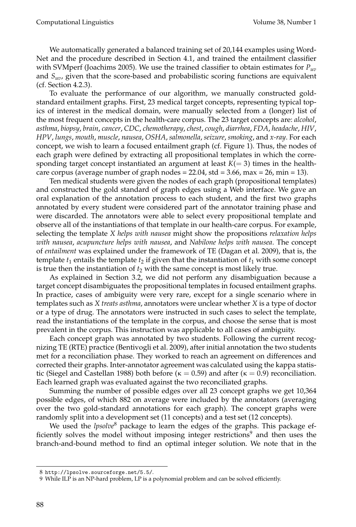We automatically generated a balanced training set of 20,144 examples using Word-Net and the procedure described in Section 4.1, and trained the entailment classifier with SVMperf (Joachims 2005). We use the trained classifier to obtain estimates for  $P_{uv}$ and *Suv*, given that the score-based and probabilistic scoring functions are equivalent (cf. Section 4.2.3).

To evaluate the performance of our algorithm, we manually constructed goldstandard entailment graphs. First, 23 medical target concepts, representing typical topics of interest in the medical domain, were manually selected from a (longer) list of the most frequent concepts in the health-care corpus. The 23 target concepts are: *alcohol*, *asthma*, *biopsy*, *brain*, *cancer*, *CDC*, *chemotherapy*, *chest*, *cough*, *diarrhea*, *FDA*, *headache*, *HIV*, *HPV*, *lungs*, *mouth*, *muscle*, *nausea*, *OSHA*, *salmonella*, *seizure*, *smoking*, and *x-ray*. For each concept, we wish to learn a focused entailment graph (cf. Figure 1). Thus, the nodes of each graph were defined by extracting all propositional templates in which the corresponding target concept instantiated an argument at least  $K(= 3)$  times in the healthcare corpus (average number of graph nodes  $= 22.04$ , std  $= 3.66$ , max  $= 26$ , min  $= 13$ ).

Ten medical students were given the nodes of each graph (propositional templates) and constructed the gold standard of graph edges using a Web interface. We gave an oral explanation of the annotation process to each student, and the first two graphs annotated by every student were considered part of the annotator training phase and were discarded. The annotators were able to select every propositional template and observe all of the instantiations of that template in our health-care corpus. For example, selecting the template *X helps with nausea* might show the propositions *relaxation helps with nausea*, *acupuncture helps with nausea*, and *Nabilone helps with nausea*. The concept of *entailment* was explained under the framework of TE (Dagan et al. 2009), that is, the template  $t_1$  entails the template  $t_2$  if given that the instantiation of  $t_1$  with some concept is true then the instantiation of  $t_2$  with the same concept is most likely true.

As explained in Section 3.2, we did not perform any disambiguation because a target concept disambiguates the propositional templates in focused entailment graphs. In practice, cases of ambiguity were very rare, except for a single scenario where in templates such as *X treats asthma*, annotators were unclear whether *X* is a type of doctor or a type of drug. The annotators were instructed in such cases to select the template, read the instantiations of the template in the corpus, and choose the sense that is most prevalent in the corpus. This instruction was applicable to all cases of ambiguity.

Each concept graph was annotated by two students. Following the current recognizing TE (RTE) practice (Bentivogli et al. 2009), after initial annotation the two students met for a reconciliation phase. They worked to reach an agreement on differences and corrected their graphs. Inter-annotator agreement was calculated using the kappa statistic (Siegel and Castellan 1988) both before ( $\kappa = 0.59$ ) and after ( $\kappa = 0.9$ ) reconciliation. Each learned graph was evaluated against the two reconciliated graphs.

Summing the number of possible edges over all 23 concept graphs we get 10,364 possible edges, of which 882 on average were included by the annotators (averaging over the two gold-standard annotations for each graph). The concept graphs were randomly split into a development set (11 concepts) and a test set (12 concepts).

We used the *lpsolve*<sup>8</sup> package to learn the edges of the graphs. This package efficiently solves the model without imposing integer restrictions<sup>9</sup> and then uses the branch-and-bound method to find an optimal integer solution. We note that in the

<sup>8</sup> http://lpsolve.sourceforge.net/5.5/.

<sup>9</sup> While ILP is an NP-hard problem, LP is a polynomial problem and can be solved efficiently.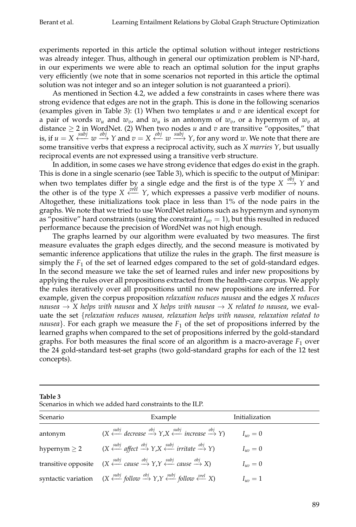experiments reported in this article the optimal solution without integer restrictions was already integer. Thus, although in general our optimization problem is NP-hard, in our experiments we were able to reach an optimal solution for the input graphs very efficiently (we note that in some scenarios not reported in this article the optimal solution was not integer and so an integer solution is not guaranteed a priori).

As mentioned in Section 4.2, we added a few constraints in cases where there was strong evidence that edges are not in the graph. This is done in the following scenarios (examples given in Table 3): (1) When two templates *u* and *v* are identical except for a pair of words  $w_u$  and  $w_v$ , and  $w_u$  is an antonym of  $w_v$ , or a hypernym of  $w_v$  at distance  $\geq$  2 in WordNet. (2) When two nodes *u* and *v* are transitive "opposites," that is, if  $u = \overline{X} \stackrel{subj}{\longleftarrow} w \stackrel{obj}{\longrightarrow} Y$  and  $v = X \stackrel{obj}{\longleftarrow} w \stackrel{subj}{\longrightarrow} Y$ , for any word w. We note that there are some transitive verbs that express a reciprocal activity, such as *X marries Y*, but usually reciprocal events are not expressed using a transitive verb structure.

In addition, in some cases we have strong evidence that edges do exist in the graph. This is done in a single scenario (see Table 3), which is specific to the output of Minipar: when two templates differ by a single edge and the first is of the type  $X \stackrel{obj}{\rightarrow} Y$  and the other is of the type  $X \xleftarrow{grid} Y$ , which expresses a passive verb modifier of nouns. Altogether, these initializations took place in less than 1% of the node pairs in the graphs. We note that we tried to use WordNet relations such as hypernym and synonym as "positive" hard constraints (using the constraint  $I_{uv} = 1$ ), but this resulted in reduced performance because the precision of WordNet was not high enough.

The graphs learned by our algorithm were evaluated by two measures. The first measure evaluates the graph edges directly, and the second measure is motivated by semantic inference applications that utilize the rules in the graph. The first measure is simply the  $F_1$  of the set of learned edges compared to the set of gold-standard edges. In the second measure we take the set of learned rules and infer new propositions by applying the rules over all propositions extracted from the health-care corpus. We apply the rules iteratively over all propositions until no new propositions are inferred. For example, given the corpus proposition *relaxation reduces nausea* and the edges *X reduces nausea*  $\rightarrow$  *X helps with nausea* and *X helps with nausea*  $\rightarrow$  *X related to nausea*, we evaluate the set {*relaxation reduces nausea, relaxation helps with nausea, relaxation related to nausea*}. For each graph we measure the  $F_1$  of the set of propositions inferred by the learned graphs when compared to the set of propositions inferred by the gold-standard graphs. For both measures the final score of an algorithm is a macro-average  $F_1$  over the 24 gold-standard test-set graphs (two gold-standard graphs for each of the 12 test concepts).

| labie |  |
|-------|--|
|       |  |

| Scenarios in which we added hard constraints to the ILP. |  |
|----------------------------------------------------------|--|
|----------------------------------------------------------|--|

| Scenario          | Example                                                                                                                                                                                  | Initialization  |  |
|-------------------|------------------------------------------------------------------------------------------------------------------------------------------------------------------------------------------|-----------------|--|
| antonym           | $(X \xleftarrow{subj} \text{decrease} \xrightarrow{obj} Y, X \xleftarrow{subj} \text{increase} \xrightarrow{obj} Y)$                                                                     | $I_{\nu\pi}=0$  |  |
| hypernym $\geq 2$ | $(X \xleftarrow{subj} \text{ affect} \xrightarrow{obj} Y, X \xleftarrow{subj} \text{irritate} \xrightarrow{obj} Y)$                                                                      | $I_{uv} = 0$    |  |
|                   | transitive opposite $(X \xleftarrow{\text{subj}} \text{cause} \xrightarrow{\text{obj}} Y, Y \xleftarrow{\text{subj}} \text{cause} \xrightarrow{\text{obj}} X)$                           | $I_{\nu z} = 0$ |  |
|                   | syntactic variation $(X \stackrel{subj}{\longleftrightarrow} follow \stackrel{obj}{\longrightarrow} Y, Y \stackrel{subj}{\longleftrightarrow} follow \stackrel{vrel}{\longleftarrow} X)$ | $I_{uv} = 1$    |  |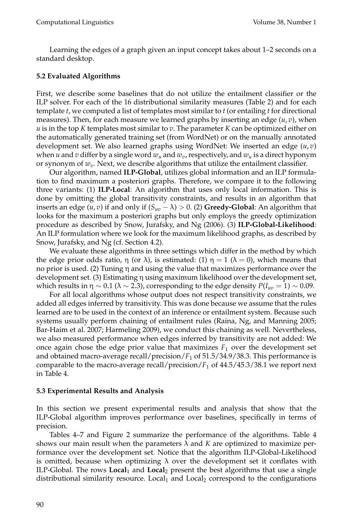Learning the edges of a graph given an input concept takes about 1–2 seconds on a standard desktop.

### **5.2 Evaluated Algorithms**

First, we describe some baselines that do not utilize the entailment classifier or the ILP solver. For each of the 16 distributional similarity measures (Table 2) and for each template *t*, we computed a list of templates most similar to *t* (or entailing *t* for directional measures). Then, for each measure we learned graphs by inserting an edge (*u*, *v*), when *u* is in the top *K* templates most similar to *v*. The parameter *K* can be optimized either on the automatically generated training set (from WordNet) or on the manually annotated development set. We also learned graphs using WordNet: We inserted an edge (*u*, *v*) when *u* and *v* differ by a single word  $w_u$  and  $w_u$ , respectively, and  $w_u$  is a direct hyponym or synonym of  $w_p$ . Next, we describe algorithms that utilize the entailment classifier.

Our algorithm, named **ILP-Global**, utilizes global information and an ILP formulation to find maximum a posteriori graphs. Therefore, we compare it to the following three variants: (1) **ILP-Local**: An algorithm that uses only local information. This is done by omitting the global transitivity constraints, and results in an algorithm that inserts an edge (*u*, *v*) if and only if  $(S_{uv} - \lambda) > 0$ . (2) **Greedy-Global**: An algorithm that looks for the maximum a posteriori graphs but only employs the greedy optimization procedure as described by Snow, Jurafsky, and Ng (2006). (3) **ILP-Global-Likelihood**: An ILP formulation where we look for the maximum likelihood graphs, as described by Snow, Jurafsky, and Ng (cf. Section 4.2).

We evaluate these algorithms in three settings which differ in the method by which the edge prior odds ratio, η (or λ), is estimated: (1)  $η = 1 (λ = 0)$ , which means that no prior is used. (2) Tuning η and using the value that maximizes performance over the development set. (3) Estimating η using maximum likelihood over the development set, which results in η ∼ 0.1 ( $\lambda$  ∼ 2.3), corresponding to the edge density  $P(I_{uv} = 1)$  ∼ 0.09.

For all local algorithms whose output does not respect transitivity constraints, we added all edges inferred by transitivity. This was done because we assume that the rules learned are to be used in the context of an inference or entailment system. Because such systems usually perform chaining of entailment rules (Raina, Ng, and Manning 2005; Bar-Haim et al. 2007; Harmeling 2009), we conduct this chaining as well. Nevertheless, we also measured performance when edges inferred by transitivity are not added: We once again chose the edge prior value that maximizes  $F_1$  over the development set and obtained macro-average recall/precision/*F*<sup>1</sup> of 51.5/34.9/38.3. This performance is comparable to the macro-average recall/precision/ $F_1$  of  $44.5/45.3/38.1$  we report next in Table 4.

## **5.3 Experimental Results and Analysis**

In this section we present experimental results and analysis that show that the ILP-Global algorithm improves performance over baselines, specifically in terms of precision.

Tables 4–7 and Figure 2 summarize the performance of the algorithms. Table 4 shows our main result when the parameters  $\lambda$  and  $K$  are optimized to maximize performance over the development set. Notice that the algorithm ILP-Global-Likelihood is omitted, because when optimizing  $\lambda$  over the development set it conflates with ILP-Global. The rows **Local**<sup>1</sup> and **Local**<sup>2</sup> present the best algorithms that use a single distributional similarity resource. Local<sub>1</sub> and Local<sub>2</sub> correspond to the configurations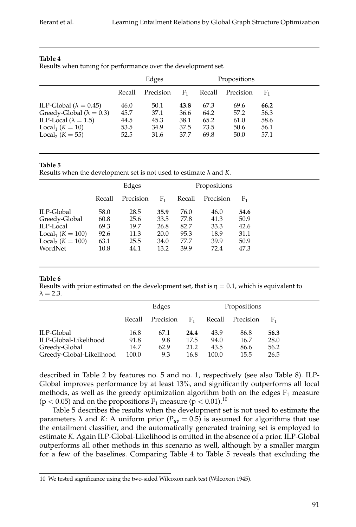| ۰.<br>×<br>- -<br>- -<br>۰, |  |
|-----------------------------|--|
|-----------------------------|--|

Results when tuning for performance over the development set.

|                                   | Edges  |           |      | Propositions |           |      |
|-----------------------------------|--------|-----------|------|--------------|-----------|------|
|                                   | Recall | Precision | F1   | Recall       | Precision | F1   |
| ILP-Global ( $\lambda = 0.45$ )   | 46.0   | 50.1      | 43.8 | 67.3         | 69.6      | 66.2 |
| Greedy-Global ( $\lambda = 0.3$ ) | 45.7   | 37.1      | 36.6 | 64.2         | 57.2      | 56.3 |
| ILP-Local ( $\lambda = 1.5$ )     | 44.5   | 45.3      | 38.1 | 65.2         | 61.0      | 58.6 |
| Local <sub>1</sub> $(K = 10)$     | 53.5   | 34.9      | 37.5 | 73.5         | 50.6      | 56.1 |
| Local <sub>2</sub> $(K = 55)$     | 52.5   | 31.6      | 37.7 | 69.8         | 50.0      | 57.1 |
|                                   |        |           |      |              |           |      |

#### **Table 5**

Results when the development set is not used to estimate λ and *K*.

|                                  | Edges  |           |         | Propositions |           |      |  |
|----------------------------------|--------|-----------|---------|--------------|-----------|------|--|
|                                  | Recall | Precision | $F_{1}$ | Recall       | Precision | F1   |  |
| ILP-Global                       | 58.0   | 28.5      | 35.9    | 76.0         | 46.0      | 54.6 |  |
| Greedy-Global                    | 60.8   | 25.6      | 33.5    | 77.8         | 41.3      | 50.9 |  |
| ILP-Local                        | 69.3   | 19.7      | 26.8    | 82.7         | 33.3      | 42.6 |  |
| Local <sub>1</sub> ( $K = 100$ ) | 92.6   | 11.3      | 20.0    | 95.3         | 18.9      | 31.1 |  |
| Local <sub>2</sub> ( $K = 100$ ) | 63.1   | 25.5      | 34.0    | 77.7         | 39.9      | 50.9 |  |
| WordNet                          | 10.8   | 44.1      | 13.2    | 39.9         | 72.4      | 47.3 |  |
|                                  |        |           |         |              |           |      |  |

#### **Table 6**

Results with prior estimated on the development set, that is  $\eta = 0.1$ , which is equivalent to  $\lambda = 2.3$ .

|                                                                                  | Edges                         |                            |                              | Propositions                  |                              |                              |
|----------------------------------------------------------------------------------|-------------------------------|----------------------------|------------------------------|-------------------------------|------------------------------|------------------------------|
|                                                                                  | Recall                        | Precision                  | F <sub>1</sub>               |                               | Recall Precision             | F <sub>1</sub>               |
| ILP-Global<br>ILP-Global-Likelihood<br>Greedy-Global<br>Greedy-Global-Likelihood | 16.8<br>91.8<br>14.7<br>100.0 | 67.1<br>9.8<br>62.9<br>9.3 | 24.4<br>17.5<br>21.2<br>16.8 | 43.9<br>94.0<br>43.5<br>100.0 | 86.8<br>16.7<br>86.6<br>15.5 | 56.3<br>28.0<br>56.2<br>26.5 |

described in Table 2 by features no. 5 and no. 1, respectively (see also Table 8). ILP-Global improves performance by at least 13%, and significantly outperforms all local methods, as well as the greedy optimization algorithm both on the edges  $F_1$  measure  $(p < 0.05)$  and on the propositions  $F_1$  measure  $(p < 0.01)$ .<sup>10</sup>

Table 5 describes the results when the development set is not used to estimate the parameters  $\lambda$  and *K*: A uniform prior ( $P_{uv} = 0.5$ ) is assumed for algorithms that use the entailment classifier, and the automatically generated training set is employed to estimate *K*. Again ILP-Global-Likelihood is omitted in the absence of a prior. ILP-Global outperforms all other methods in this scenario as well, although by a smaller margin for a few of the baselines. Comparing Table 4 to Table 5 reveals that excluding the

<sup>10</sup> We tested significance using the two-sided Wilcoxon rank test (Wilcoxon 1945).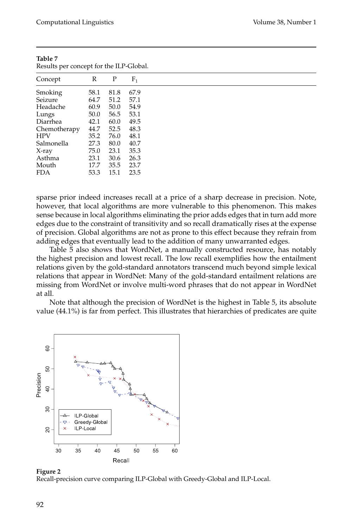| Concept      | R    | Р    | ${\rm F_1}$ |  |
|--------------|------|------|-------------|--|
| Smoking      | 58.1 | 81.8 | 67.9        |  |
| Seizure      | 64.7 | 51.2 | 57.1        |  |
| Headache     | 60.9 | 50.0 | 54.9        |  |
| Lungs        | 50.0 | 56.5 | 53.1        |  |
| Diarrhea     | 42.1 | 60.0 | 49.5        |  |
| Chemotherapy | 44.7 | 52.5 | 48.3        |  |
| <b>HPV</b>   | 35.2 | 76.0 | 48.1        |  |
| Salmonella   | 27.3 | 80.0 | 40.7        |  |
| $X$ -ray     | 75.0 | 23.1 | 35.3        |  |
| Asthma       | 23.1 | 30.6 | 26.3        |  |
| Mouth        | 17.7 | 35.5 | 23.7        |  |
| <b>FDA</b>   | 53.3 | 15.1 | 23.5        |  |

| Table 7 |                                         |  |
|---------|-----------------------------------------|--|
|         | Results per concept for the ILP-Global. |  |

sparse prior indeed increases recall at a price of a sharp decrease in precision. Note, however, that local algorithms are more vulnerable to this phenomenon. This makes sense because in local algorithms eliminating the prior adds edges that in turn add more edges due to the constraint of transitivity and so recall dramatically rises at the expense of precision. Global algorithms are not as prone to this effect because they refrain from adding edges that eventually lead to the addition of many unwarranted edges.

Table 5 also shows that WordNet, a manually constructed resource, has notably the highest precision and lowest recall. The low recall exemplifies how the entailment relations given by the gold-standard annotators transcend much beyond simple lexical relations that appear in WordNet: Many of the gold-standard entailment relations are missing from WordNet or involve multi-word phrases that do not appear in WordNet at all.

Note that although the precision of WordNet is the highest in Table 5, its absolute value (44.1%) is far from perfect. This illustrates that hierarchies of predicates are quite



**Figure 2** Recall-precision curve comparing ILP-Global with Greedy-Global and ILP-Local.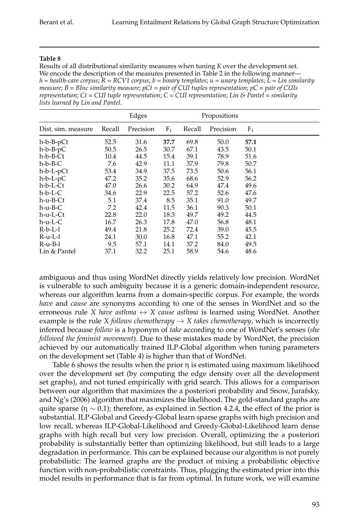#### **Table 8**

Results of all distributional similarity measures when tuning *K* over the development set. We encode the description of the measures presented in Table 2 in the following manner *h = health-care corpus*; *R = RCV1 corpus*; *b = binary templates*; *u = unary templates*; *L = Lin similarity measure*; *B = BInc similarity measure*; *pCt = pair of CUI tuples representation*; *pC = pair of CUIs representation*; *Ct = CUI tuple representation*; *C = CUI representation*; *Lin & Pantel = similarity lists learned by Lin and Pantel*.

|                    |        | Edges     |       |        | Propositions |       |  |
|--------------------|--------|-----------|-------|--------|--------------|-------|--|
| Dist. sim. measure | Recall | Precision | $F_1$ | Recall | Precision    | $F_1$ |  |
| h-b-B-pCt          | 52.5   | 31.6      | 37.7  | 69.8   | 50.0         | 57.1  |  |
| h-b-B-pC           | 50.5   | 26.5      | 30.7  | 67.1   | 43.5         | 50.1  |  |
| h-b-B-Ct           | 10.4   | 44.5      | 15.4  | 39.1   | 78.9         | 51.6  |  |
| h-b-B-C            | 7.6    | 42.9      | 11.1  | 37.9   | 79.8         | 50.7  |  |
| h-b-L-pCt          | 53.4   | 34.9      | 37.5  | 73.5   | 50.6         | 56.1  |  |
| h-b-L-pC           | 47.2   | 35.2      | 35.6  | 68.6   | 52.9         | 56.2  |  |
| h-b-L-Ct           | 47.0   | 26.6      | 30.2  | 64.9   | 47.4         | 49.6  |  |
| h-b-L-C            | 34.6   | 22.9      | 22.5  | 57.2   | 52.6         | 47.6  |  |
| h-u-B-Ct           | 5.1    | 37.4      | 8.5   | 35.1   | 91.0         | 49.7  |  |
| h-u-B-C            | 7.2    | 42.4      | 11.5  | 36.1   | 90.3         | 50.1  |  |
| h-u-L-Ct           | 22.8   | 22.0      | 18.3  | 49.7   | 49.2         | 44.5  |  |
| h-u-L-C            | 16.7   | 26.3      | 17.8  | 47.0   | 56.8         | 48.1  |  |
| $R-b-L-1$          | 49.4   | 21.8      | 25.2  | 72.4   | 39.0         | 45.5  |  |
| $R$ -u-L-l         | 24.1   | 30.0      | 16.8  | 47.1   | 55.2         | 42.1  |  |
| R-u-B-l            | 9.5    | 57.1      | 14.1  | 37.2   | 84.0         | 49.5  |  |
| Lin & Pantel       | 37.1   | 32.2      | 25.1  | 58.9   | 54.6         | 48.6  |  |

ambiguous and thus using WordNet directly yields relatively low precision. WordNet is vulnerable to such ambiguity because it is a generic domain-independent resource, whereas our algorithm learns from a domain-specific corpus. For example, the words *have* and *cause* are synonyms according to one of the senses in WordNet and so the erroneous rule *X have asthma*  $\leftrightarrow$  *X cause asthma* is learned using WordNet. Another example is the rule *X follows chemotherapy*  $\rightarrow$  *X takes chemotherapy*, which is incorrectly inferred because *follow* is a hyponym of *take* according to one of WordNet's senses (*she followed the feminist movement*). Due to these mistakes made by WordNet, the precision achieved by our automatically trained ILP-Global algorithm when tuning parameters on the development set (Table 4) is higher than that of WordNet.

Table 6 shows the results when the prior η is estimated using maximum likelihood over the development set (by computing the edge density over all the development set graphs), and not tuned empirically with grid search. This allows for a comparison between our algorithm that maximizes the a posteriori probability and Snow, Jurafsky, and Ng's (2006) algorithm that maximizes the likelihood. The gold-standard graphs are quite sparse ( $\eta \sim 0.1$ ); therefore, as explained in Section 4.2.4, the effect of the prior is substantial. ILP-Global and Greedy-Global learn sparse graphs with high precision and low recall, whereas ILP-Global-Likelihood and Greedy-Global-Likelihood learn dense graphs with high recall but very low precision. Overall, optimizing the a posteriori probability is substantially better than optimizing likelihood, but still leads to a large degradation in performance. This can be explained because our algorithm is not purely probabilistic: The learned graphs are the product of mixing a probabilistic objective function with non-probabilistic constraints. Thus, plugging the estimated prior into this model results in performance that is far from optimal. In future work, we will examine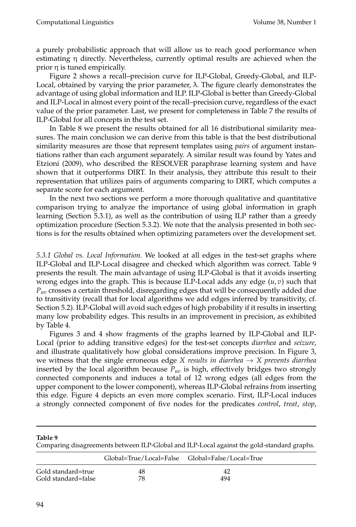a purely probabilistic approach that will allow us to reach good performance when estimating η directly. Nevertheless, currently optimal results are achieved when the prior η is tuned empirically.

Figure 2 shows a recall–precision curve for ILP-Global, Greedy-Global, and ILP-Local, obtained by varying the prior parameter,  $\lambda$ . The figure clearly demonstrates the advantage of using global information and ILP. ILP-Global is better than Greedy-Global and ILP-Local in almost every point of the recall–precision curve, regardless of the exact value of the prior parameter. Last, we present for completeness in Table 7 the results of ILP-Global for all concepts in the test set.

In Table 8 we present the results obtained for all 16 distributional similarity measures. The main conclusion we can derive from this table is that the best distributional similarity measures are those that represent templates using *pairs* of argument instantiations rather than each argument separately. A similar result was found by Yates and Etzioni (2009), who described the RESOLVER paraphrase learning system and have shown that it outperforms DIRT. In their analysis, they attribute this result to their representation that utilizes pairs of arguments comparing to DIRT, which computes a separate score for each argument.

In the next two sections we perform a more thorough qualitative and quantitative comparison trying to analyze the importance of using global information in graph learning (Section 5.3.1), as well as the contribution of using ILP rather than a greedy optimization procedure (Section 5.3.2). We note that the analysis presented in both sections is for the results obtained when optimizing parameters over the development set.

*5.3.1 Global vs. Local Information.* We looked at all edges in the test-set graphs where ILP-Global and ILP-Local disagree and checked which algorithm was correct. Table 9 presents the result. The main advantage of using ILP-Global is that it avoids inserting wrong edges into the graph. This is because ILP-Local adds any edge (*u*, *v*) such that *Puv* crosses a certain threshold, disregarding edges that will be consequently added due to transitivity (recall that for local algorithms we add edges inferred by transitivity, cf. Section 5.2). ILP-Global will avoid such edges of high probability if it results in inserting many low probability edges. This results in an improvement in precision, as exhibited by Table 4.

Figures 3 and 4 show fragments of the graphs learned by ILP-Global and ILP-Local (prior to adding transitive edges) for the test-set concepts *diarrhea* and *seizure*, and illustrate qualitatively how global considerations improve precision. In Figure 3, we witness that the single erroneous edge *X results in diarrhea*  $\rightarrow$  *X prevents diarrhea* inserted by the local algorithm because  $P_{uv}$  is high, effectively bridges two strongly connected components and induces a total of 12 wrong edges (all edges from the upper component to the lower component), whereas ILP-Global refrains from inserting this edge. Figure 4 depicts an even more complex scenario. First, ILP-Local induces a strongly connected component of five nodes for the predicates *control*, *treat*, *stop*,

**Table 9**

| Comparing disagreements between ILP-Global and ILP-Local against the gold-standard graphs. |  |
|--------------------------------------------------------------------------------------------|--|
|--------------------------------------------------------------------------------------------|--|

|                     | Global=True/Local=False Global=False/Local=True |     |  |
|---------------------|-------------------------------------------------|-----|--|
| Gold standard=true  | 48                                              | 42  |  |
| Gold standard=false | 78                                              | 494 |  |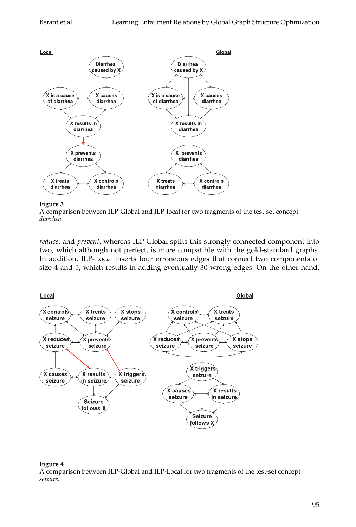

## **Figure 3**

A comparison between ILP-Global and ILP-local for two fragments of the test-set concept *diarrhea*.

*reduce*, and *prevent*, whereas ILP-Global splits this strongly connected component into two, which although not perfect, is more compatible with the gold-standard graphs. In addition, ILP-Local inserts four erroneous edges that connect two components of size 4 and 5, which results in adding eventually 30 wrong edges. On the other hand,



## **Figure 4**

A comparison between ILP-Global and ILP-Local for two fragments of the test-set concept *seizure*.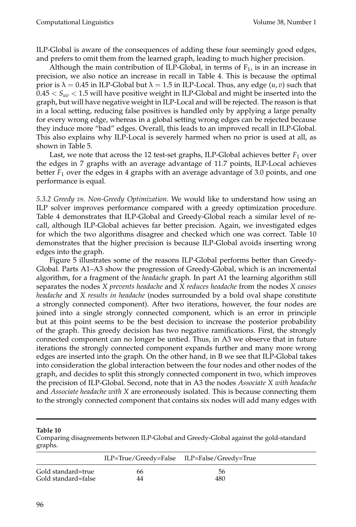ILP-Global is aware of the consequences of adding these four seemingly good edges, and prefers to omit them from the learned graph, leading to much higher precision.

Although the main contribution of ILP-Global, in terms of  $F_1$ , is in an increase in precision, we also notice an increase in recall in Table 4. This is because the optimal prior is  $\lambda = 0.45$  in ILP-Global but  $\lambda = 1.5$  in ILP-Local. Thus, any edge  $(u, v)$  such that 0.45 < *Suv* < 1.5 will have positive weight in ILP-Global and might be inserted into the graph, but will have negative weight in ILP-Local and will be rejected. The reason is that in a local setting, reducing false positives is handled only by applying a large penalty for every wrong edge, whereas in a global setting wrong edges can be rejected because they induce more "bad" edges. Overall, this leads to an improved recall in ILP-Global. This also explains why ILP-Local is severely harmed when no prior is used at all, as shown in Table 5.

Last, we note that across the 12 test-set graphs, ILP-Global achieves better  $F_1$  over the edges in 7 graphs with an average advantage of 11.7 points, ILP-Local achieves better  $F_1$  over the edges in 4 graphs with an average advantage of 3.0 points, and one performance is equal.

*5.3.2 Greedy vs. Non-Greedy Optimization.* We would like to understand how using an ILP solver improves performance compared with a greedy optimization procedure. Table 4 demonstrates that ILP-Global and Greedy-Global reach a similar level of recall, although ILP-Global achieves far better precision. Again, we investigated edges for which the two algorithms disagree and checked which one was correct. Table 10 demonstrates that the higher precision is because ILP-Global avoids inserting wrong edges into the graph.

Figure 5 illustrates some of the reasons ILP-Global performs better than Greedy-Global. Parts A1–A3 show the progression of Greedy-Global, which is an incremental algorithm, for a fragment of the *headache* graph. In part A1 the learning algorithm still separates the nodes *X prevents headache* and *X reduces headache* from the nodes *X causes headache* and *X results in headache* (nodes surrounded by a bold oval shape constitute a strongly connected component). After two iterations, however, the four nodes are joined into a single strongly connected component, which is an error in principle but at this point seems to be the best decision to increase the posterior probability of the graph. This greedy decision has two negative ramifications. First, the strongly connected component can no longer be untied. Thus, in A3 we observe that in future iterations the strongly connected component expands further and many more wrong edges are inserted into the graph. On the other hand, in B we see that ILP-Global takes into consideration the global interaction between the four nodes and other nodes of the graph, and decides to split this strongly connected component in two, which improves the precision of ILP-Global. Second, note that in A3 the nodes *Associate X with headache* and *Associate headache with X* are erroneously isolated. This is because connecting them to the strongly connected component that contains six nodes will add many edges with

#### **Table 10**

Comparing disagreements between ILP-Global and Greedy-Global against the gold-standard graphs.

|                     | $ILP=True/Greedy=False$ $ILP=False/Greedy=True$ |     |  |
|---------------------|-------------------------------------------------|-----|--|
| Gold standard=true  | 66                                              | 56  |  |
| Gold standard=false | 44                                              | 480 |  |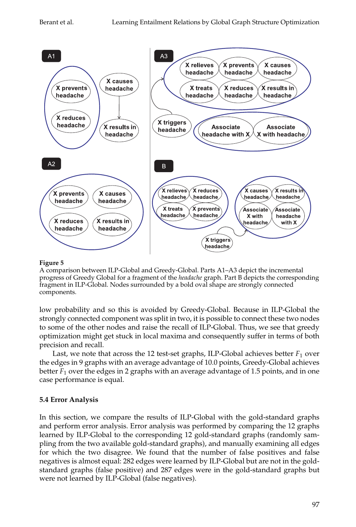

## **Figure 5**

A comparison between ILP-Global and Greedy-Global. Parts A1–A3 depict the incremental progress of Greedy Global for a fragment of the *headache* graph. Part B depicts the corresponding fragment in ILP-Global. Nodes surrounded by a bold oval shape are strongly connected components.

low probability and so this is avoided by Greedy-Global. Because in ILP-Global the strongly connected component was split in two, it is possible to connect these two nodes to some of the other nodes and raise the recall of ILP-Global. Thus, we see that greedy optimization might get stuck in local maxima and consequently suffer in terms of both precision and recall.

Last, we note that across the 12 test-set graphs, ILP-Global achieves better  $F_1$  over the edges in 9 graphs with an average advantage of 10.0 points, Greedy-Global achieves better  $F_1$  over the edges in 2 graphs with an average advantage of 1.5 points, and in one case performance is equal.

## **5.4 Error Analysis**

In this section, we compare the results of ILP-Global with the gold-standard graphs and perform error analysis. Error analysis was performed by comparing the 12 graphs learned by ILP-Global to the corresponding 12 gold-standard graphs (randomly sampling from the two available gold-standard graphs), and manually examining all edges for which the two disagree. We found that the number of false positives and false negatives is almost equal: 282 edges were learned by ILP-Global but are not in the goldstandard graphs (false positive) and 287 edges were in the gold-standard graphs but were not learned by ILP-Global (false negatives).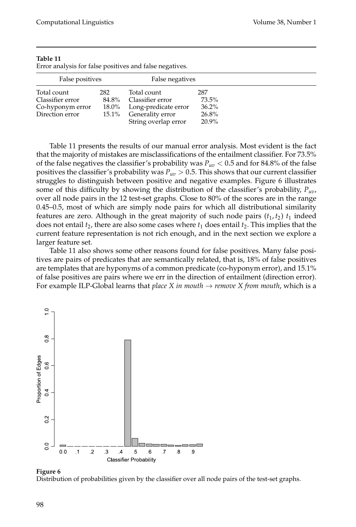| False positives  |          | False negatives      |          |  |
|------------------|----------|----------------------|----------|--|
| Total count      | 282      | Total count          | 287      |  |
| Classifier error | 84.8%    | Classifier error     | 73.5%    |  |
| Co-hyponym error | 18.0%    | Long-predicate error | $36.2\%$ |  |
| Direction error  | $15.1\%$ | Generality error     | 26.8%    |  |
|                  |          | String overlap error | 20.9%    |  |

#### **Table 11**

Error analysis for false positives and false negatives.

Table 11 presents the results of our manual error analysis. Most evident is the fact that the majority of mistakes are misclassifications of the entailment classifier. For 73.5% of the false negatives the classifier's probability was  $P_{uv}$  < 0.5 and for 84.8% of the false positives the classifier's probability was  $P_{uv} > 0.5$ . This shows that our current classifier struggles to distinguish between positive and negative examples. Figure 6 illustrates some of this difficulty by showing the distribution of the classifier's probability, *Puv*, over all node pairs in the 12 test-set graphs. Close to 80% of the scores are in the range 0.45–0.5, most of which are simply node pairs for which all distributional similarity features are zero. Although in the great majority of such node pairs  $(t_1, t_2)$   $t_1$  indeed does not entail  $t_2$ , there are also some cases where  $t_1$  does entail  $t_2$ . This implies that the current feature representation is not rich enough, and in the next section we explore a larger feature set.

Table 11 also shows some other reasons found for false positives. Many false positives are pairs of predicates that are semantically related, that is, 18% of false positives are templates that are hyponyms of a common predicate (co-hyponym error), and 15.1% of false positives are pairs where we err in the direction of entailment (direction error). For example ILP-Global learns that *place X in mouth*  $\rightarrow$  *remove X from mouth*, which is a



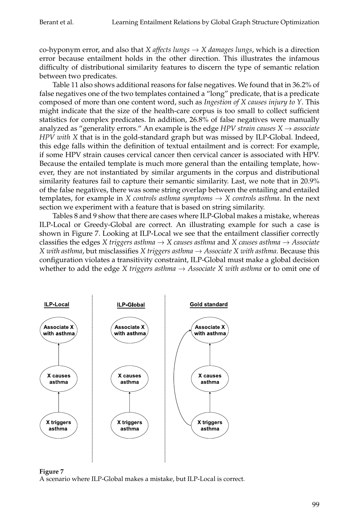co-hyponym error, and also that *X affects lungs*  $\rightarrow$  *X damages lungs*, which is a direction error because entailment holds in the other direction. This illustrates the infamous difficulty of distributional similarity features to discern the type of semantic relation between two predicates.

Table 11 also shows additional reasons for false negatives. We found that in 36.2% of false negatives one of the two templates contained a "long" predicate, that is a predicate composed of more than one content word, such as *Ingestion of X causes injury to Y*. This might indicate that the size of the health-care corpus is too small to collect sufficient statistics for complex predicates. In addition, 26.8% of false negatives were manually analyzed as "generality errors." An example is the edge  $HPV$  *strain causes*  $X \rightarrow$  *associate HPV with X* that is in the gold-standard graph but was missed by ILP-Global. Indeed, this edge falls within the definition of textual entailment and is correct: For example, if some HPV strain causes cervical cancer then cervical cancer is associated with HPV. Because the entailed template is much more general than the entailing template, however, they are not instantiated by similar arguments in the corpus and distributional similarity features fail to capture their semantic similarity. Last, we note that in 20.9% of the false negatives, there was some string overlap between the entailing and entailed templates, for example in *X controls asthma symptoms*  $\rightarrow$  *X controls asthma*. In the next section we experiment with a feature that is based on string similarity.

Tables 8 and 9 show that there are cases where ILP-Global makes a mistake, whereas ILP-Local or Greedy-Global are correct. An illustrating example for such a case is shown in Figure 7. Looking at ILP-Local we see that the entailment classifier correctly classifies the edges *X* triggers asthma  $\rightarrow$  *X causes asthma* and *X causes asthma*  $\rightarrow$  *Associate X with asthma*, but misclassifies *X triggers asthma* → *Associate X with asthma*. Because this configuration violates a transitivity constraint, ILP-Global must make a global decision whether to add the edge *X triggers asthma*  $\rightarrow$  *Associate X with asthma* or to omit one of



**Figure 7** A scenario where ILP-Global makes a mistake, but ILP-Local is correct.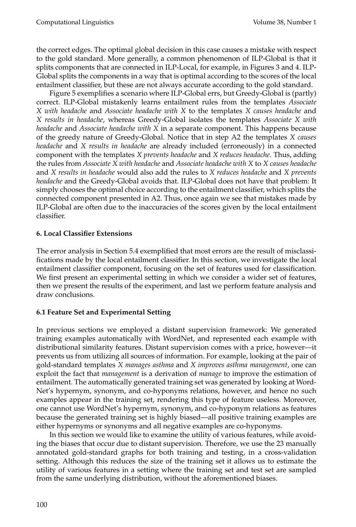the correct edges. The optimal global decision in this case causes a mistake with respect to the gold standard. More generally, a common phenomenon of ILP-Global is that it splits components that are connected in ILP-Local, for example, in Figures 3 and 4. ILP-Global splits the components in a way that is optimal according to the scores of the local entailment classifier, but these are not always accurate according to the gold standard.

Figure 5 exemplifies a scenario where ILP-Global errs, but Greedy-Global is (partly) correct. ILP-Global mistakenly learns entailment rules from the templates *Associate X with headache* and *Associate headache with X* to the templates *X causes headache* and *X results in headache*, whereas Greedy-Global isolates the templates *Associate X with headache* and *Associate headache with X* in a separate component. This happens because of the greedy nature of Greedy-Global. Notice that in step A2 the templates *X causes headache* and *X results in headache* are already included (erroneously) in a connected component with the templates *X prevents headache* and *X reduces headache*. Thus, adding the rules from *Associate X with headache* and *Associate headache with X* to *X causes headache* and *X results in headache* would also add the rules to *X reduces headache* and *X prevents headache* and the Greedy-Global avoids that. ILP-Global does not have that problem: It simply chooses the optimal choice according to the entailment classifier, which splits the connected component presented in A2. Thus, once again we see that mistakes made by ILP-Global are often due to the inaccuracies of the scores given by the local entailment classifier.

# **6. Local Classifier Extensions**

The error analysis in Section 5.4 exemplified that most errors are the result of misclassifications made by the local entailment classifier. In this section, we investigate the local entailment classifier component, focusing on the set of features used for classification. We first present an experimental setting in which we consider a wider set of features, then we present the results of the experiment, and last we perform feature analysis and draw conclusions.

# **6.1 Feature Set and Experimental Setting**

In previous sections we employed a distant supervision framework: We generated training examples automatically with WordNet, and represented each example with distributional similarity features. Distant supervision comes with a price, however—it prevents us from utilizing all sources of information. For example, looking at the pair of gold-standard templates *X manages asthma* and *X improves asthma management*, one can exploit the fact that *management* is a derivation of *manage* to improve the estimation of entailment. The automatically generated training set was generated by looking at Word-Net's hypernym, synonym, and co-hyponyms relations, however, and hence no such examples appear in the training set, rendering this type of feature useless. Moreover, one cannot use WordNet's hypernym, synonym, and co-hyponym relations as features because the generated training set is highly biased—all positive training examples are either hypernyms or synonyms and all negative examples are co-hyponyms.

In this section we would like to examine the utility of various features, while avoiding the biases that occur due to distant supervision. Therefore, we use the 23 manually annotated gold-standard graphs for both training and testing, in a cross-validation setting. Although this reduces the size of the training set it allows us to estimate the utility of various features in a setting where the training set and test set are sampled from the same underlying distribution, without the aforementioned biases.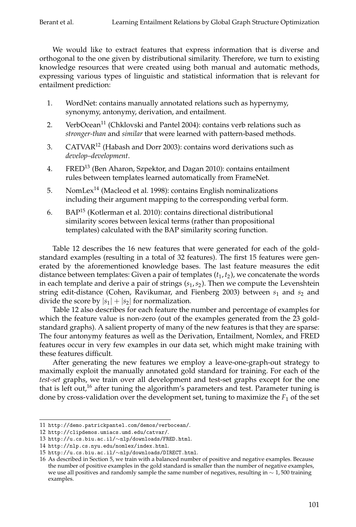We would like to extract features that express information that is diverse and orthogonal to the one given by distributional similarity. Therefore, we turn to existing knowledge resources that were created using both manual and automatic methods, expressing various types of linguistic and statistical information that is relevant for entailment prediction:

- 1. WordNet: contains manually annotated relations such as hypernymy, synonymy, antonymy, derivation, and entailment.
- 2. VerbOcean<sup>11</sup> (Chklovski and Pantel 2004): contains verb relations such as *stronger-than* and *similar* that were learned with pattern-based methods.
- 3. CATVAR<sup>12</sup> (Habash and Dorr 2003): contains word derivations such as *develop–development*.
- 4. FRED<sup>13</sup> (Ben Aharon, Szpektor, and Dagan 2010): contains entailment rules between templates learned automatically from FrameNet.
- 5. NomLex<sup>14</sup> (Macleod et al. 1998): contains English nominalizations including their argument mapping to the corresponding verbal form.
- 6. BAP<sup>15</sup> (Kotlerman et al. 2010): contains directional distributional similarity scores between lexical terms (rather than propositional templates) calculated with the BAP similarity scoring function.

Table 12 describes the 16 new features that were generated for each of the goldstandard examples (resulting in a total of 32 features). The first 15 features were generated by the aforementioned knowledge bases. The last feature measures the edit distance between templates: Given a pair of templates  $(t_1, t_2)$ , we concatenate the words in each template and derive a pair of strings (*s*1,*s*2). Then we compute the Levenshtein string edit-distance (Cohen, Ravikumar, and Fienberg 2003) between  $s_1$  and  $s_2$  and divide the score by  $|s_1| + |s_2|$  for normalization.

Table 12 also describes for each feature the number and percentage of examples for which the feature value is non-zero (out of the examples generated from the 23 goldstandard graphs). A salient property of many of the new features is that they are sparse: The four antonymy features as well as the Derivation, Entailment, Nomlex, and FRED features occur in very few examples in our data set, which might make training with these features difficult.

After generating the new features we employ a leave-one-graph-out strategy to maximally exploit the manually annotated gold standard for training. For each of the *test-set* graphs, we train over all development and test-set graphs except for the one that is left out,<sup>16</sup> after tuning the algorithm's parameters and test. Parameter tuning is done by cross-validation over the development set, tuning to maximize the *F*<sup>1</sup> of the set

<sup>11</sup> http://demo.patrickpantel.com/demos/verbocean/.

<sup>12</sup> http://clipdemos.umiacs.umd.edu/catvar/.

<sup>13</sup> http://u.cs.biu.ac.il/∼nlp/downloads/FRED.html.

<sup>14</sup> http://nlp.cs.nyu.edu/nomlex/index.html.

<sup>15</sup> http://u.cs.biu.ac.il/∼nlp/downloads/DIRECT.html.

<sup>16</sup> As described in Section 5, we train with a balanced number of positive and negative examples. Because the number of positive examples in the gold standard is smaller than the number of negative examples, we use all positives and randomly sample the same number of negatives, resulting in ∼ 1,500 training examples.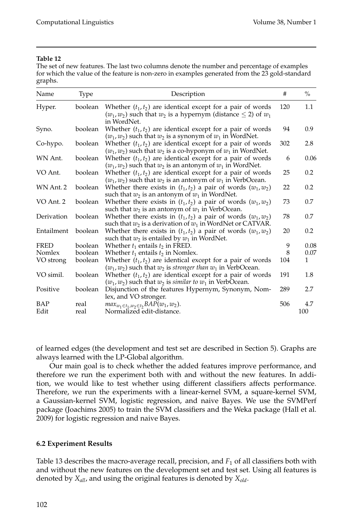#### **Table 12**

The set of new features. The last two columns denote the number and percentage of examples for which the value of the feature is non-zero in examples generated from the 23 gold-standard graphs.

| <b>Type</b>  | Description                                                                                                                                             | #                                                                                                                                                                                                                                                                                                                                                                                                                                                                                                                                                                                                                                                                                                                                                                        | $\frac{0}{0}$ |
|--------------|---------------------------------------------------------------------------------------------------------------------------------------------------------|--------------------------------------------------------------------------------------------------------------------------------------------------------------------------------------------------------------------------------------------------------------------------------------------------------------------------------------------------------------------------------------------------------------------------------------------------------------------------------------------------------------------------------------------------------------------------------------------------------------------------------------------------------------------------------------------------------------------------------------------------------------------------|---------------|
| boolean      | Whether $(t_1, t_2)$ are identical except for a pair of words<br>$(w_1, w_2)$ such that $w_2$ is a hypernym (distance $\leq$ 2) of $w_1$<br>in WordNet. | 120                                                                                                                                                                                                                                                                                                                                                                                                                                                                                                                                                                                                                                                                                                                                                                      | 1.1           |
| boolean      | Whether $(t_1, t_2)$ are identical except for a pair of words                                                                                           | 94                                                                                                                                                                                                                                                                                                                                                                                                                                                                                                                                                                                                                                                                                                                                                                       | 0.9           |
| boolean      | Whether $(t_1, t_2)$ are identical except for a pair of words                                                                                           | 302                                                                                                                                                                                                                                                                                                                                                                                                                                                                                                                                                                                                                                                                                                                                                                      | 2.8           |
| boolean      | Whether $(t_1, t_2)$ are identical except for a pair of words                                                                                           | 6                                                                                                                                                                                                                                                                                                                                                                                                                                                                                                                                                                                                                                                                                                                                                                        | 0.06          |
| boolean      | Whether $(t_1, t_2)$ are identical except for a pair of words                                                                                           | 25                                                                                                                                                                                                                                                                                                                                                                                                                                                                                                                                                                                                                                                                                                                                                                       | 0.2           |
| boolean      | Whether there exists in $(t_1, t_2)$ a pair of words $(w_1, w_2)$                                                                                       | 22                                                                                                                                                                                                                                                                                                                                                                                                                                                                                                                                                                                                                                                                                                                                                                       | 0.2           |
| boolean      | Whether there exists in $(t_1, t_2)$ a pair of words $(w_1, w_2)$                                                                                       | 73                                                                                                                                                                                                                                                                                                                                                                                                                                                                                                                                                                                                                                                                                                                                                                       | 0.7           |
| boolean      | Whether there exists in $(t_1, t_2)$ a pair of words $(w_1, w_2)$                                                                                       | 78                                                                                                                                                                                                                                                                                                                                                                                                                                                                                                                                                                                                                                                                                                                                                                       | 0.7           |
| boolean      | Whether there exists in $(t_1, t_2)$ a pair of words $(w_1, w_2)$                                                                                       | 20                                                                                                                                                                                                                                                                                                                                                                                                                                                                                                                                                                                                                                                                                                                                                                       | 0.2           |
|              |                                                                                                                                                         |                                                                                                                                                                                                                                                                                                                                                                                                                                                                                                                                                                                                                                                                                                                                                                          | 0.08          |
| boolean      |                                                                                                                                                         | 8                                                                                                                                                                                                                                                                                                                                                                                                                                                                                                                                                                                                                                                                                                                                                                        | 0.07          |
| boolean      | Whether $(t_1, t_2)$ are identical except for a pair of words                                                                                           | 104                                                                                                                                                                                                                                                                                                                                                                                                                                                                                                                                                                                                                                                                                                                                                                      | 1             |
| boolean      | Whether $(t_1, t_2)$ are identical except for a pair of words                                                                                           | 191                                                                                                                                                                                                                                                                                                                                                                                                                                                                                                                                                                                                                                                                                                                                                                      | 1.8           |
| boolean      | Disjunction of the features Hypernym, Synonym, Nom-                                                                                                     | 289                                                                                                                                                                                                                                                                                                                                                                                                                                                                                                                                                                                                                                                                                                                                                                      | 2.7           |
| real<br>real | $max_{w_1 \in t_1, w_2 \in t_2} BAP(w_1, w_2).$<br>Normalized edit-distance.                                                                            | 506                                                                                                                                                                                                                                                                                                                                                                                                                                                                                                                                                                                                                                                                                                                                                                      | 4.7<br>100    |
|              | boolean                                                                                                                                                 | $(w_1, w_2)$ such that $w_2$ is a synonym of $w_1$ in WordNet.<br>$(w_1, w_2)$ such that $w_2$ is a co-hyponym of $w_1$ in WordNet.<br>$(w_1, w_2)$ such that $w_2$ is an antonym of $w_1$ in WordNet.<br>$(w_1, w_2)$ such that $w_2$ is an antonym of $w_1$ in VerbOcean.<br>such that $w_2$ is an antonym of $w_1$ in WordNet.<br>such that $w_2$ is an antonym of $w_1$ in VerbOcean.<br>such that $w_2$ is a derivation of $w_1$ in WordNet or CATVAR.<br>such that $w_2$ is entailed by $w_1$ in WordNet.<br>Whether $t_1$ entails $t_2$ in FRED.<br>Whether $t_1$ entails $t_2$ in Nomlex.<br>$(w_1, w_2)$ such that $w_2$ is stronger than $w_1$ in VerbOcean.<br>$(w_1, w_2)$ such that $w_2$ is <i>similar to</i> $w_1$ in VerbOcean.<br>lex, and VO stronger. | 9             |

of learned edges (the development and test set are described in Section 5). Graphs are always learned with the LP-Global algorithm.

Our main goal is to check whether the added features improve performance, and therefore we run the experiment both with and without the new features. In addition, we would like to test whether using different classifiers affects performance. Therefore, we run the experiments with a linear-kernel SVM, a square-kernel SVM, a Gaussian-kernel SVM, logistic regression, and naive Bayes. We use the SVMPerf package (Joachims 2005) to train the SVM classifiers and the Weka package (Hall et al. 2009) for logistic regression and naive Bayes.

## **6.2 Experiment Results**

Table 13 describes the macro-average recall, precision, and  $F_1$  of all classifiers both with and without the new features on the development set and test set. Using all features is denoted by *Xall*, and using the original features is denoted by *Xold*.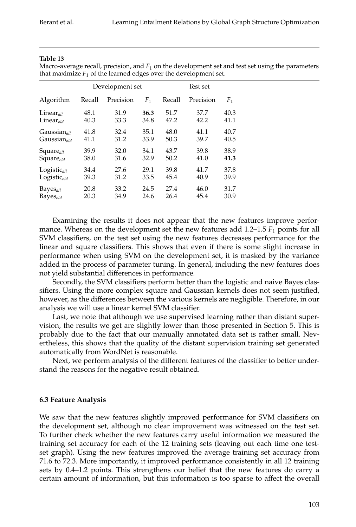#### **Table 13**

Macro-average recall, precision, and  $F_1$  on the development set and test set using the parameters that maximize  $F_1$  of the learned edges over the development set.

|                       |        | Development set |         |        | Test set  |                |
|-----------------------|--------|-----------------|---------|--------|-----------|----------------|
| Algorithm             | Recall | Precision       | $F_{1}$ | Recall | Precision | F <sub>1</sub> |
| Linear <sub>all</sub> | 48.1   | 31.9            | 36.3    | 51.7   | 37.7      | 40.3           |
| Linear <sub>old</sub> | 40.3   | 33.3            | 34.8    | 47.2   | 42.2      | 41.1           |
| Gaussian $_{all}$     | 41.8   | 32.4            | 35.1    | 48.0   | 41.1      | 40.7           |
| Gaussian $_{old}$     | 41.1   | 31.2            | 33.9    | 50.3   | 39.7      | 40.5           |
| $Square_{all}$        | 39.9   | 32.0            | 34.1    | 43.7   | 39.8      | 38.9           |
| Square $_{old}$       | 38.0   | 31.6            | 32.9    | 50.2   | 41.0      | 41.3           |
| Logistic $_{all}$     | 34.4   | 27.6            | 29.1    | 39.8   | 41.7      | 37.8           |
| $Logistic_{old}$      | 39.3   | 31.2            | 33.5    | 45.4   | 40.9      | 39.9           |
| $Bayes_{all}$         | 20.8   | 33.2            | 24.5    | 27.4   | 46.0      | 31.7           |
| $Bayes_{old}$         | 20.3   | 34.9            | 24.6    | 26.4   | 45.4      | 30.9           |

Examining the results it does not appear that the new features improve performance. Whereas on the development set the new features add  $1.2-1.5$   $F<sub>1</sub>$  points for all SVM classifiers, on the test set using the new features decreases performance for the linear and square classifiers. This shows that even if there is some slight increase in performance when using SVM on the development set, it is masked by the variance added in the process of parameter tuning. In general, including the new features does not yield substantial differences in performance.

Secondly, the SVM classifiers perform better than the logistic and naive Bayes classifiers. Using the more complex square and Gaussian kernels does not seem justified, however, as the differences between the various kernels are negligible. Therefore, in our analysis we will use a linear kernel SVM classifier.

Last, we note that although we use supervised learning rather than distant supervision, the results we get are slightly lower than those presented in Section 5. This is probably due to the fact that our manually annotated data set is rather small. Nevertheless, this shows that the quality of the distant supervision training set generated automatically from WordNet is reasonable.

Next, we perform analysis of the different features of the classifier to better understand the reasons for the negative result obtained.

#### **6.3 Feature Analysis**

We saw that the new features slightly improved performance for SVM classifiers on the development set, although no clear improvement was witnessed on the test set. To further check whether the new features carry useful information we measured the training set accuracy for each of the 12 training sets (leaving out each time one testset graph). Using the new features improved the average training set accuracy from 71.6 to 72.3. More importantly, it improved performance consistently in all 12 training sets by 0.4–1.2 points. This strengthens our belief that the new features do carry a certain amount of information, but this information is too sparse to affect the overall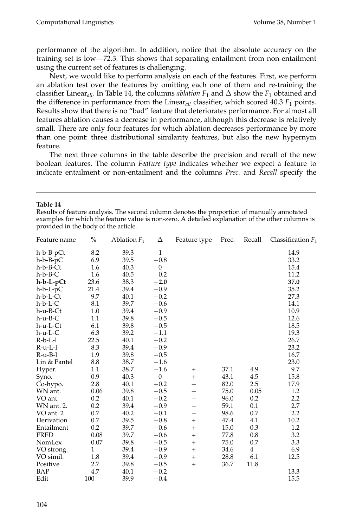performance of the algorithm. In addition, notice that the absolute accuracy on the training set is low—72.3. This shows that separating entailment from non-entailment using the current set of features is challenging.

Next, we would like to perform analysis on each of the features. First, we perform an ablation test over the features by omitting each one of them and re-training the classifier Linear<sub>all</sub>. In Table 14, the columns *ablation*  $F_1$  and  $\Delta$  show the  $F_1$  obtained and the difference in performance from the Linear<sub>all</sub> classifier, which scored 40.3  $F_1$  points. Results show that there is no "bad" feature that deteriorates performance. For almost all features ablation causes a decrease in performance, although this decrease is relatively small. There are only four features for which ablation decreases performance by more than one point: three distributional similarity features, but also the new hypernym feature.

The next three columns in the table describe the precision and recall of the new boolean features. The column *Feature type* indicates whether we expect a feature to indicate entailment or non-entailment and the columns *Prec.* and *Recall* specify the

#### **Table 14**

Results of feature analysis. The second column denotes the proportion of manually annotated examples for which the feature value is non-zero. A detailed explanation of the other columns is provided in the body of the article.

| Feature name | $\%$         | Ablation $F_1$ | Δ                | Feature type | Prec. | Recall         | Classification $F_1$ |
|--------------|--------------|----------------|------------------|--------------|-------|----------------|----------------------|
| h-b-B-pCt    | 8.2          | 39.3           | $-1$             |              |       |                | 14.9                 |
| h-b-B-pC     | 6.9          | 39.5           | $-0.8$           |              |       |                | 33.2                 |
| h-b-B-Ct     | 1.6          | 40.3           | $\boldsymbol{0}$ |              |       |                | 15.4                 |
| h-b-B-C      | 1.6          | 40.5           | 0.2              |              |       |                | 11.2                 |
| h-b-L-pCt    | 23.6         | 38.3           | $-2.0$           |              |       |                | 37.0                 |
| h-b-L-pC     | 21.4         | 39.4           | $-0.9$           |              |       |                | 35.2                 |
| h-b-L-Ct     | 9.7          | 40.1           | $-0.2$           |              |       |                | 27.3                 |
| h-b-L-C      | 8.1          | 39.7           | $-0.6$           |              |       |                | 14.1                 |
| h-u-B-Ct     | 1.0          | 39.4           | $-0.9$           |              |       |                | 10.9                 |
| h-u-B-C      | 1.1          | 39.8           | $-0.5$           |              |       |                | 12.6                 |
| h-u-L-Ct     | 6.1          | 39.8           | $-0.5$           |              |       |                | 18.5                 |
| h-u-L-C      | 6.3          | 39.2           | $-1.1$           |              |       |                | 19.3                 |
| $R-b-L-1$    | 22.5         | 40.1           | $-0.2$           |              |       |                | 26.7                 |
| R-u-L-l      | 8.3          | 39.4           | $-0.9$           |              |       |                | 23.2                 |
| $R-u-B-1$    | 1.9          | 39.8           | $-0.5$           |              |       |                | 16.7                 |
| Lin & Pantel | 8.8          | 38.7           | $-1.6$           |              |       |                | 23.0                 |
| Hyper.       | 1.1          | 38.7           | $-1.6$           | $^{+}$       | 37.1  | 4.9            | 9.7                  |
| Syno.        | 0.9          | 40.3           | $\boldsymbol{0}$ | $^{+}$       | 43.1  | 4.5            | 15.8                 |
| Co-hypo.     | 2.8          | 40.1           | $-0.2$           |              | 82.0  | 2.5            | 17.9                 |
| WN ant.      | 0.06         | 39.8           | $-0.5$           |              | 75.0  | 0.05           | 1.2                  |
| VO ant.      | 0.2          | 40.1           | $-0.2$           |              | 96.0  | 0.2            | 2.2                  |
| WN ant. 2.   | 0.2          | 39.4           | $-0.9$           |              | 59.1  | 0.1            | 2.7                  |
| VO ant. 2    | 0.7          | 40.2           | $-0.1$           |              | 98.6  | 0.7            | 2.2                  |
| Derivation   | 0.7          | 39.5           | $-0.8$           | $+$          | 47.4  | 4.1            | 10.2                 |
| Entailment   | 0.2          | 39.7           | $-0.6$           | $^{+}$       | 15.0  | 0.3            | 1.2                  |
| <b>FRED</b>  | 0.08         | 39.7           | $-0.6$           | $^{+}$       | 77.8  | 0.8            | 3.2                  |
| NomLex       | 0.07         | 39.8           | $-0.5$           | $^{+}$       | 75.0  | 0.7            | 3.3                  |
| VO strong.   | $\mathbf{1}$ | 39.4           | $-0.9$           | $^{+}$       | 34.6  | $\overline{4}$ | 6.9                  |
| VO simil.    | 1.8          | 39.4           | $-0.9$           | $+$          | 28.8  | 6.1            | 12.5                 |
| Positive     | 2.7          | 39.8           | $-0.5$           | $^{+}$       | 36.7  | 11.8           |                      |
| <b>BAP</b>   | 4.7          | 40.1           | $-0.2$           |              |       |                | 13.3                 |
| Edit         | 100          | 39.9           | $-0.4$           |              |       |                | 15.5                 |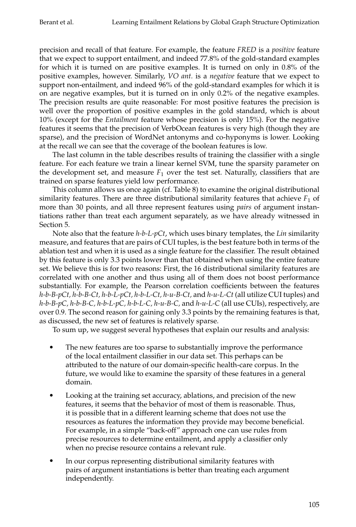precision and recall of that feature. For example, the feature *FRED* is a *positive* feature that we expect to support entailment, and indeed 77.8% of the gold-standard examples for which it is turned on are positive examples. It is turned on only in 0.8% of the positive examples, however. Similarly, *VO ant.* is a *negative* feature that we expect to support non-entailment, and indeed 96% of the gold-standard examples for which it is on are negative examples, but it is turned on in only 0.2% of the negative examples. The precision results are quite reasonable: For most positive features the precision is well over the proportion of positive examples in the gold standard, which is about 10% (except for the *Entailment* feature whose precision is only 15%). For the negative features it seems that the precision of VerbOcean features is very high (though they are sparse), and the precision of WordNet antonyms and co-hyponyms is lower. Looking at the recall we can see that the coverage of the boolean features is low.

The last column in the table describes results of training the classifier with a single feature. For each feature we train a linear kernel SVM, tune the sparsity parameter on the development set, and measure  $F_1$  over the test set. Naturally, classifiers that are trained on sparse features yield low performance.

This column allows us once again (cf. Table 8) to examine the original distributional similarity features. There are three distributional similarity features that achieve  $F_1$  of more than 30 points, and all three represent features using *pairs* of argument instantiations rather than treat each argument separately, as we have already witnessed in Section 5.

Note also that the feature *h-b-L-pCt*, which uses binary templates, the *Lin* similarity measure, and features that are pairs of CUI tuples, is the best feature both in terms of the ablation test and when it is used as a single feature for the classifier. The result obtained by this feature is only 3.3 points lower than that obtained when using the entire feature set. We believe this is for two reasons: First, the 16 distributional similarity features are correlated with one another and thus using all of them does not boost performance substantially. For example, the Pearson correlation coefficients between the features *h-b-B-pCt, h-b-B-Ct, h-b-L-pCt, h-b-L-Ct, h-u-B-Ct,* and *h-u-L-Ct* (all utilize CUI tuples) and *h-b-B-pC, h-b-B-C, h-b-L-pC, h-b-L-C, h-u-B-C,* and *h-u-L-C* (all use CUIs), respectively, are over 0.9. The second reason for gaining only 3.3 points by the remaining features is that, as discussed, the new set of features is relatively sparse.

To sum up, we suggest several hypotheses that explain our results and analysis:

- The new features are too sparse to substantially improve the performance of the local entailment classifier in our data set. This perhaps can be attributed to the nature of our domain-specific health-care corpus. In the future, we would like to examine the sparsity of these features in a general domain.
- Looking at the training set accuracy, ablations, and precision of the new features, it seems that the behavior of most of them is reasonable. Thus, it is possible that in a different learning scheme that does not use the resources as features the information they provide may become beneficial. For example, in a simple "back-off" approach one can use rules from precise resources to determine entailment, and apply a classifier only when no precise resource contains a relevant rule.
- In our corpus representing distributional similarity features with pairs of argument instantiations is better than treating each argument independently.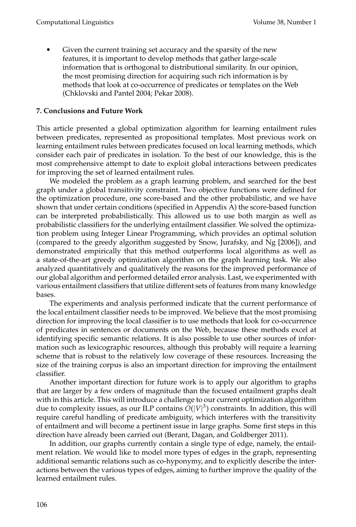Given the current training set accuracy and the sparsity of the new features, it is important to develop methods that gather large-scale information that is orthogonal to distributional similarity. In our opinion, the most promising direction for acquiring such rich information is by methods that look at co-occurrence of predicates or templates on the Web (Chklovski and Pantel 2004; Pekar 2008).

## **7. Conclusions and Future Work**

This article presented a global optimization algorithm for learning entailment rules between predicates, represented as propositional templates. Most previous work on learning entailment rules between predicates focused on local learning methods, which consider each pair of predicates in isolation. To the best of our knowledge, this is the most comprehensive attempt to date to exploit global interactions between predicates for improving the set of learned entailment rules.

We modeled the problem as a graph learning problem, and searched for the best graph under a global transitivity constraint. Two objective functions were defined for the optimization procedure, one score-based and the other probabilistic, and we have shown that under certain conditions (specified in Appendix A) the score-based function can be interpreted probabilistically. This allowed us to use both margin as well as probabilistic classifiers for the underlying entailment classifier. We solved the optimization problem using Integer Linear Programming, which provides an optimal solution (compared to the greedy algorithm suggested by Snow, Jurafsky, and Ng [2006]), and demonstrated empirically that this method outperforms local algorithms as well as a state-of-the-art greedy optimization algorithm on the graph learning task. We also analyzed quantitatively and qualitatively the reasons for the improved performance of our global algorithm and performed detailed error analysis. Last, we experimented with various entailment classifiers that utilize different sets of features from many knowledge bases.

The experiments and analysis performed indicate that the current performance of the local entailment classifier needs to be improved. We believe that the most promising direction for improving the local classifier is to use methods that look for co-occurrence of predicates in sentences or documents on the Web, because these methods excel at identifying specific semantic relations. It is also possible to use other sources of information such as lexicographic resources, although this probably will require a learning scheme that is robust to the relatively low coverage of these resources. Increasing the size of the training corpus is also an important direction for improving the entailment classifier.

Another important direction for future work is to apply our algorithm to graphs that are larger by a few orders of magnitude than the focused entailment graphs dealt with in this article. This will introduce a challenge to our current optimization algorithm due to complexity issues, as our ILP contains  $O(|V|^3)$  constraints. In addition, this will require careful handling of predicate ambiguity, which interferes with the transitivity of entailment and will become a pertinent issue in large graphs. Some first steps in this direction have already been carried out (Berant, Dagan, and Goldberger 2011).

In addition, our graphs currently contain a single type of edge, namely, the entailment relation. We would like to model more types of edges in the graph, representing additional semantic relations such as co-hyponymy, and to explicitly describe the interactions between the various types of edges, aiming to further improve the quality of the learned entailment rules.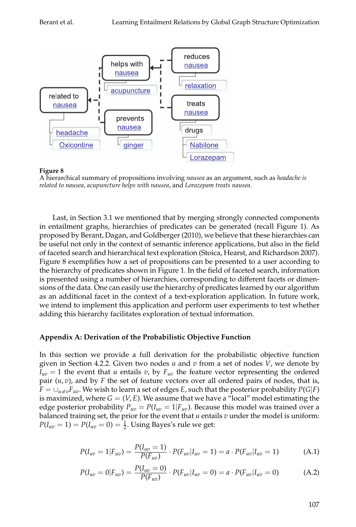

#### **Figure 8**

A hierarchical summary of propositions involving *nausea* as an argument, such as *headache is related to nausea*, *acupuncture helps with nausea*, and *Lorazepam treats nausea*.

Last, in Section 3.1 we mentioned that by merging strongly connected components in entailment graphs, hierarchies of predicates can be generated (recall Figure 1). As proposed by Berant, Dagan, and Goldberger (2010), we believe that these hierarchies can be useful not only in the context of semantic inference applications, but also in the field of faceted search and hierarchical text exploration (Stoica, Hearst, and Richardson 2007). Figure 8 exemplifies how a set of propositions can be presented to a user according to the hierarchy of predicates shown in Figure 1. In the field of faceted search, information is presented using a number of hierarchies, corresponding to different facets or dimensions of the data. One can easily use the hierarchy of predicates learned by our algorithm as an additional facet in the context of a text-exploration application. In future work, we intend to implement this application and perform user experiments to test whether adding this hierarchy facilitates exploration of textual information.

## **Appendix A: Derivation of the Probabilistic Objective Function**

In this section we provide a full derivation for the probabilistic objective function given in Section 4.2.2. Given two nodes *u* and *v* from a set of nodes *V*, we denote by  $I_{uv} = 1$  the event that *u* entails *v*, by  $F_{uv}$  the feature vector representing the ordered pair  $(u, v)$ , and by  $F$  the set of feature vectors over all ordered pairs of nodes, that is,  $F = \bigcup_{u \neq v} F_{uv}$ . We wish to learn a set of edges *E*, such that the posterior probability *P*(*G*|*F*) is maximized, where  $G = (V, E)$ . We assume that we have a "local" model estimating the edge posterior probability  $P_{uv} = P(I_{uv} = 1|F_{uv})$ . Because this model was trained over a balanced training set, the prior for the event that *u* entails *v* under the model is uniform:  $P(I_{uv} = 1) = P(I_{uv} = 0) = \frac{1}{2}$ . Using Bayes's rule we get:

$$
P(I_{uv} = 1 | F_{uv}) = \frac{P(I_{uv} = 1)}{P(F_{uv})} \cdot P(F_{uv} | I_{uv} = 1) = a \cdot P(F_{uv} | I_{uv} = 1)
$$
(A.1)

$$
P(I_{uv} = 0 | F_{uv}) = \frac{P(I_{uv} = 0)}{P(F_{uv})} \cdot P(F_{uv} | I_{uv} = 0) = a \cdot P(F_{uv} | I_{uv} = 0)
$$
 (A.2)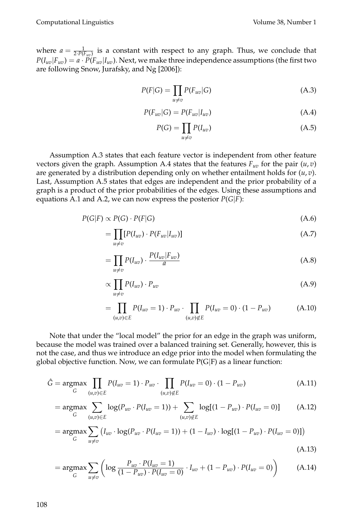where  $a = \frac{1}{2 \cdot P(F_{uv})}$  is a constant with respect to any graph. Thus, we conclude that  $P(I_{uv}|F_{uv}) = a \cdot P(F_{uv}|I_{uv})$ . Next, we make three independence assumptions (the first two are following Snow, Jurafsky, and Ng [2006]):

$$
P(F|G) = \prod_{u \neq v} P(F_{uv}|G)
$$
\n(A.3)

$$
P(F_{uv}|G) = P(F_{uv}|I_{uv})
$$
\n(A.4)

$$
P(G) = \prod_{u \neq v} P(I_{uv})
$$
\n(A.5)

Assumption A.3 states that each feature vector is independent from other feature vectors given the graph. Assumption A.4 states that the features  $F_{uv}$  for the pair  $(u, v)$ are generated by a distribution depending only on whether entailment holds for (*u*, *v*). Last, Assumption A.5 states that edges are independent and the prior probability of a graph is a product of the prior probabilities of the edges. Using these assumptions and equations A.1 and A.2, we can now express the posterior  $P(G|F)$ :

$$
P(G|F) \propto P(G) \cdot P(F|G) \tag{A.6}
$$

$$
= \prod_{u \neq v} [P(I_{uv}) \cdot P(F_{uv}|I_{uv})]
$$
\n(A.7)

$$
=\prod_{u\neq v} P(I_{uv})\cdot \frac{P(I_{uv}|F_{uv})}{a}
$$
\n(A.8)

$$
\propto \prod_{u \neq v} P(I_{uv}) \cdot P_{uv} \tag{A.9}
$$

$$
= \prod_{(u,v)\in E} P(I_{uv} = 1) \cdot P_{uv} \cdot \prod_{(u,v)\notin E} P(I_{uv} = 0) \cdot (1 - P_{uv}) \tag{A.10}
$$

Note that under the "local model" the prior for an edge in the graph was uniform, because the model was trained over a balanced training set. Generally, however, this is not the case, and thus we introduce an edge prior into the model when formulating the global objective function. Now, we can formulate  $P(G|F)$  as a linear function:

$$
\hat{G} = \underset{G}{\text{argmax}} \prod_{(u,v)\in E} P(I_{uv} = 1) \cdot P_{uv} \cdot \prod_{(u,v)\notin E} P(I_{uv} = 0) \cdot (1 - P_{uv}) \tag{A.11}
$$

$$
= \underset{G}{\text{argmax}} \sum_{(u,v)\in E} \log(P_{uv} \cdot P(I_{uv} = 1)) + \sum_{(u,v)\notin E} \log[(1 - P_{uv}) \cdot P(I_{uv} = 0)] \tag{A.12}
$$

$$
= \underset{G}{\text{argmax}} \sum_{u \neq v} \left( I_{uv} \cdot \log(P_{uv} \cdot P(I_{uv} = 1)) + (1 - I_{uv}) \cdot \log[(1 - P_{uv}) \cdot P(I_{uv} = 0)] \right)
$$
\n(A.13)

$$
= \underset{G}{\text{argmax}} \sum_{u \neq v} \left( \log \frac{P_{uv} \cdot P(I_{uv} = 1)}{(1 - P_{uv}) \cdot P(I_{uv} = 0)} \cdot I_{uv} + (1 - P_{uv}) \cdot P(I_{uv} = 0) \right) \tag{A.14}
$$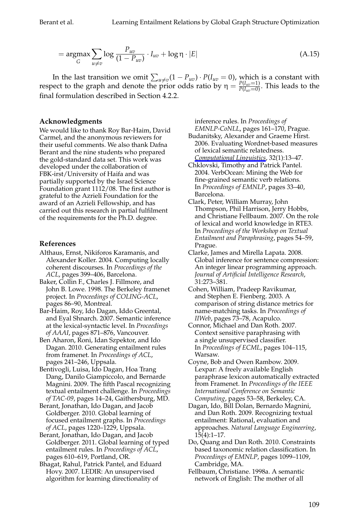$$
= \underset{G}{\operatorname{argmax}} \sum_{u \neq v} \log \frac{P_{uv}}{(1 - P_{uv})} \cdot I_{uv} + \log \eta \cdot |E| \tag{A.15}
$$

In the last transition we omit  $\sum_{u \neq v} (1 - P_{uv}) \cdot P(I_{uv} = 0)$ , which is a constant with respect to the graph and denote the prior odds ratio by  $\eta = \frac{P(I_{uv} = 1)}{P(I_{uv} = 0)}$ . This leads to the final formulation described in Section 4.2.2.

## **Acknowledgments**

We would like to thank Roy Bar-Haim, David Carmel, and the anonymous reviewers for their useful comments. We also thank Dafna Berant and the nine students who prepared the gold-standard data set. This work was developed under the collaboration of FBK-irst/University of Haifa and was partially supported by the Israel Science Foundation grant 1112/08. The first author is grateful to the Azrieli Foundation for the award of an Azrieli Fellowship, and has carried out this research in partial fulfilment of the requirements for the Ph.D. degree.

#### **References**

- Althaus, Ernst, Nikiforos Karamanis, and Alexander Koller. 2004. Computing locally coherent discourses. In *Proceedings of the ACL*, pages 399–406, Barcelona.
- Baker, Collin F., Charles J. Fillmore, and John B. Lowe. 1998. The Berkeley framenet project. In *Proceedings of COLING-ACL*, pages 86–90, Montreal.
- Bar-Haim, Roy, Ido Dagan, Iddo Greental, and Eyal Shnarch. 2007. Semantic inference at the lexical-syntactic level. In *Proceedings of AAAI*, pages 871–876, Vancouver.
- Ben Aharon, Roni, Idan Szpektor, and Ido Dagan. 2010. Generating entailment rules from framenet. In *Proceedings of ACL*, pages 241–246, Uppsala.
- Bentivogli, Luisa, Ido Dagan, Hoa Trang Dang, Danilo Giampiccolo, and Bernarde Magnini. 2009. The fifth Pascal recognizing textual entailment challenge. In *Proceedings of TAC-09*, pages 14–24, Gaithersburg, MD.
- Berant, Jonathan, Ido Dagan, and Jacob Goldberger. 2010. Global learning of focused entailment graphs. In *Proceedings of ACL*, pages 1220–1229, Uppsala.
- Berant, Jonathan, Ido Dagan, and Jacob Goldberger. 2011. Global learning of typed entailment rules. In *Proceedings of ACL*, pages 610–619, Portland, OR.
- Bhagat, Rahul, Patrick Pantel, and Eduard Hovy. 2007. LEDIR: An unsupervised algorithm for learning directionality of

inference rules. In *Proceedings of EMNLP-CoNLL*, pages 161–170, Prague. Budanitsky, Alexander and Graeme Hirst. 2006. Evaluating Wordnet-based measures of lexical semantic relatedness. *Computational Linguistics*, 32(1):13–47.

- Chklovski, Timothy and Patrick Pantel. 2004. VerbOcean: Mining the Web for fine-grained semantic verb relations. In *Proceedings of EMNLP*, pages 33–40, Barcelona.
- Clark, Peter, William Murray, John Thompson, Phil Harrison, Jerry Hobbs, and Christiane Fellbaum. 2007. On the role of lexical and world knowledge in RTE3. In *Proceedings of the Workshop on Textual Entailment and Paraphrasing*, pages 54–59, Prague.
- Clarke, James and Mirella Lapata. 2008. Global inference for sentence compression: An integer linear programming approach. *Journal of Artificial Intelligence Research*, 31:273–381.
- Cohen, William, Pradeep Ravikumar, and Stephen E. Fienberg. 2003. A comparison of string distance metrics for name-matching tasks. In *Proceedings of IIWeb*, pages 73–78, Acapulco.
- Connor, Michael and Dan Roth. 2007. Context sensitive paraphrasing with a single unsupervised classifier. In *Proceedings of ECML*, pages 104–115, Warsaw.
- Coyne, Bob and Owen Rambow. 2009. Lexpar: A freely available English paraphrase lexicon automatically extracted from Framenet. In *Proceedings of the IEEE International Conference on Semantic Computing*, pages 53–58, Berkeley, CA.
- Dagan, Ido, Bill Dolan, Bernardo Magnini, and Dan Roth. 2009. Recognizing textual entailment: Rational, evaluation and approaches. *Natural Language Engineering*, 15(4):1–17.
- Do, Quang and Dan Roth. 2010. Constraints based taxonomic relation classification. In *Proceedings of EMNLP*, pages 1099–1109, Cambridge, MA.
- Fellbaum, Christiane. 1998a. A semantic network of English: The mother of all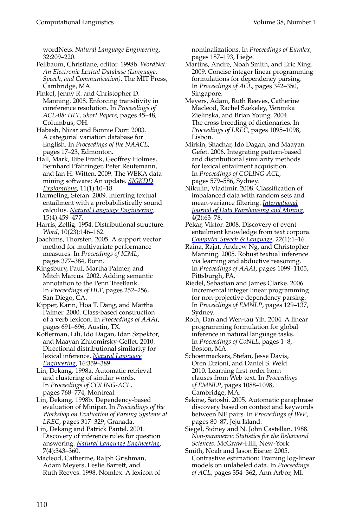#### Computational Linguistics Volume 38, Number 1

wordNets. *Natural Language Engineering*, 32:209–220.

- Fellbaum, Christiane, editor. 1998b. *WordNet: An Electronic Lexical Database (Language, Speech, and Communication)*. The MIT Press, Cambridge, MA.
- Finkel, Jenny R. and Christopher D. Manning. 2008. Enforcing transitivity in coreference resolution. In *Proceedings of ACL-08: HLT, Short Papers*, pages 45–48, Columbus, OH.
- Habash, Nizar and Bonnie Dorr. 2003. A categorial variation database for English. In *Proceedings of the NAACL*, pages 17–23, Edmonton.
- Hall, Mark, Eibe Frank, Geoffrey Holmes, Bernhard Pfahringer, Peter Reutemann, and Ian H. Witten. 2009. The WEKA data mining software: An update. *SIGKDD Explorations*, 11(1):10–18.
- Harmeling, Stefan. 2009. Inferring textual entailment with a probabilistically sound calculus. *Natural Language Engineering*, 15(4):459–477.
- Harris, Zellig. 1954. Distributional structure. *Word*, 10(23):146–162.
- Joachims, Thorsten. 2005. A support vector method for multivariate performance measures. In *Proceedings of ICML*, pages 377–384, Bonn.
- Kingsbury, Paul, Martha Palmer, and Mitch Marcus. 2002. Adding semantic annotation to the Penn TreeBank. In *Proceedings of HLT*, pages 252–256, San Diego, CA.
- Kipper, Karin, Hoa T. Dang, and Martha Palmer. 2000. Class-based construction of a verb lexicon. In *Proceedings of AAAI*, pages 691–696, Austin, TX.
- Kotlerman, Lili, Ido Dagan, Idan Szpektor, and Maayan Zhitomirsky-Geffet. 2010. Directional distributional similarity for lexical inference. *Natural Language Engineering*, 16:359–389.
- Lin, Dekang. 1998a. Automatic retrieval and clustering of similar words. In *Proceedings of COLING-ACL*, pages 768–774, Montreal.
- Lin, Dekang. 1998b. Dependency-based evaluation of Minipar. In *Proceedings of the Workshop on Evaluation of Parsing Systems at LREC*, pages 317–329, Granada.
- Lin, Dekang and Patrick Pantel. 2001. Discovery of inference rules for question answering. *Natural Language Engineering*, 7(4):343–360.
- Macleod, Catherine, Ralph Grishman, Adam Meyers, Leslie Barrett, and Ruth Reeves. 1998. Nomlex: A lexicon of

nominalizations. In *Proceedings of Euralex*, pages 187–193, Liege. `

- Martins, Andre, Noah Smith, and Eric Xing. 2009. Concise integer linear programming formulations for dependency parsing. In *Proceedings of ACL*, pages 342–350, Singapore.
- Meyers, Adam, Ruth Reeves, Catherine Macleod, Rachel Szekeley, Veronika Zielinska, and Brian Young. 2004. The cross-breeding of dictionaries. In *Proceedings of LREC*, pages 1095–1098, Lisbon.
- Mirkin, Shachar, Ido Dagan, and Maayan Gefet. 2006. Integrating pattern-based and distributional similarity methods for lexical entailment acquisition. In *Proceedings of COLING-ACL*, pages 579–586, Sydney.
- Nikulin, Vladimir. 2008. Classification of imbalanced data with random sets and mean-variance filtering. *International Journal of Data Warehousing and Mining*, 4(2):63–78.
- Pekar, Viktor. 2008. Discovery of event entailment knowledge from text corpora. *Computer Speech & Language*, 22(1):1–16.
- Raina, Rajat, Andrew Ng, and Christopher Manning. 2005. Robust textual inference via learning and abductive reasoning. In *Proceedings of AAAI*, pages 1099–1105, Pittsburgh, PA.
- Riedel, Sebastian and James Clarke. 2006. Incremental integer linear programming for non-projective dependency parsing. In *Proceedings of EMNLP*, pages 129–137, Sydney.
- Roth, Dan and Wen-tau Yih. 2004. A linear programming formulation for global inference in natural language tasks. In *Proceedings of CoNLL*, pages 1–8, Boston, MA.
- Schoenmackers, Stefan, Jesse Davis, Oren Etzioni, and Daniel S. Weld. 2010. Learning first-order horn clauses from Web text. In *Proceedings of EMNLP*, pages 1088–1098, Cambridge, MA.
- Sekine, Satoshi. 2005. Automatic paraphrase discovery based on context and keywords between NE pairs. In *Proceedings of IWP*, pages 80–87, Jeju Island.
- Siegel, Sidney and N. John Castellan. 1988. *Non-parametric Statistics for the Behavioral Sciences*. McGraw-Hill, New-York.
- Smith, Noah and Jason Eisner. 2005. Contrastive estimation: Training log-linear models on unlabeled data. In *Proceedings of ACL*, pages 354–362, Ann Arbor, MI.